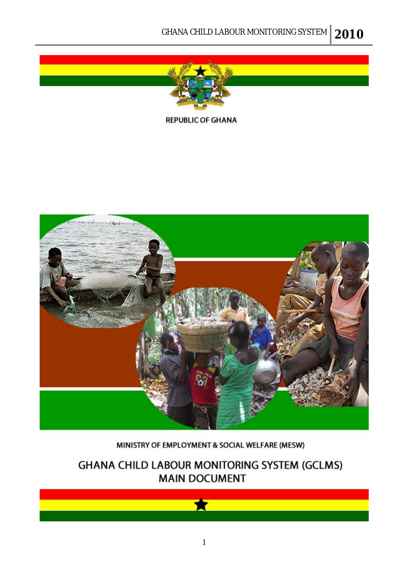

**REPUBLIC OF GHANA** 



#### MINISTRY OF EMPLOYMENT & SOCIAL WELFARE (MESW)

## GHANA CHILD LABOUR MONITORING SYSTEM (GCLMS) **MAIN DOCUMENT**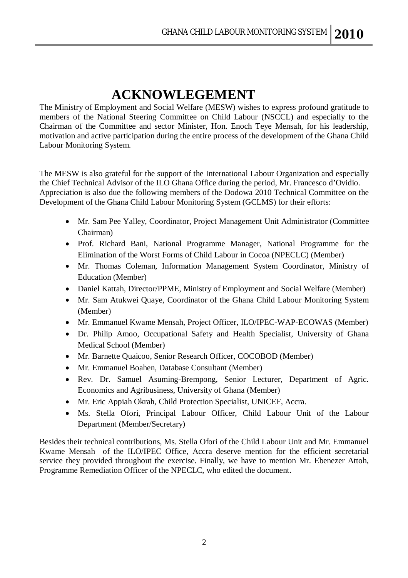## **ACKNOWLEGEMENT**

The Ministry of Employment and Social Welfare (MESW) wishes to express profound gratitude to members of the National Steering Committee on Child Labour (NSCCL) and especially to the Chairman of the Committee and sector Minister, Hon. Enoch Teye Mensah, for his leadership, motivation and active participation during the entire process of the development of the Ghana Child Labour Monitoring System.

The MESW is also grateful for the support of the International Labour Organization and especially the Chief Technical Advisor of the ILO Ghana Office during the period, Mr. Francesco d'Ovidio. Appreciation is also due the following members of the Dodowa 2010 Technical Committee on the Development of the Ghana Child Labour Monitoring System (GCLMS) for their efforts:

- Mr. Sam Pee Yalley, Coordinator, Project Management Unit Administrator (Committee Chairman)
- Prof. Richard Bani, National Programme Manager, National Programme for the Elimination of the Worst Forms of Child Labour in Cocoa (NPECLC) (Member)
- Mr. Thomas Coleman, Information Management System Coordinator, Ministry of Education (Member)
- Daniel Kattah, Director/PPME, Ministry of Employment and Social Welfare (Member)
- Mr. Sam Atukwei Quaye, Coordinator of the Ghana Child Labour Monitoring System (Member)
- Mr. Emmanuel Kwame Mensah, Project Officer, ILO/IPEC-WAP-ECOWAS (Member)
- Dr. Philip Amoo, Occupational Safety and Health Specialist, University of Ghana Medical School (Member)
- Mr. Barnette Quaicoo, Senior Research Officer, COCOBOD (Member)
- Mr. Emmanuel Boahen, Database Consultant (Member)
- Rev. Dr. Samuel Asuming-Brempong, Senior Lecturer, Department of Agric. Economics and Agribusiness, University of Ghana (Member)
- Mr. Eric Appiah Okrah, Child Protection Specialist, UNICEF, Accra.
- Ms. Stella Ofori, Principal Labour Officer, Child Labour Unit of the Labour Department (Member/Secretary)

Besides their technical contributions, Ms. Stella Ofori of the Child Labour Unit and Mr. Emmanuel Kwame Mensah of the ILO/IPEC Office, Accra deserve mention for the efficient secretarial service they provided throughout the exercise. Finally, we have to mention Mr. Ebenezer Attoh, Programme Remediation Officer of the NPECLC, who edited the document.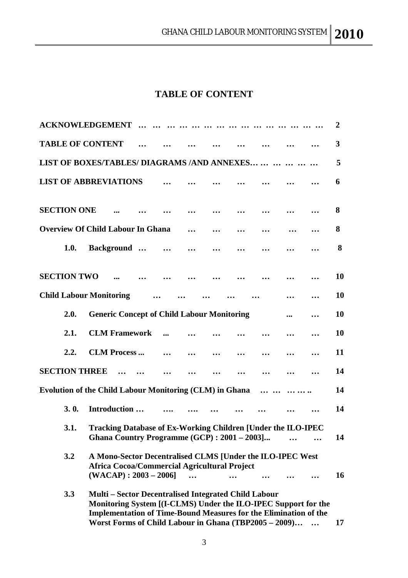## **TABLE OF CONTENT**

| <b>ACKNOWLEDGEMENT</b>                                                                                               |                                                                                                                                                                                                                                                                   |  |           |  |  |    |  | 2         |
|----------------------------------------------------------------------------------------------------------------------|-------------------------------------------------------------------------------------------------------------------------------------------------------------------------------------------------------------------------------------------------------------------|--|-----------|--|--|----|--|-----------|
| <b>TABLE OF CONTENT</b>                                                                                              |                                                                                                                                                                                                                                                                   |  |           |  |  |    |  | 3         |
| LIST OF BOXES/TABLES/ DIAGRAMS /AND ANNEXES                                                                          |                                                                                                                                                                                                                                                                   |  |           |  |  |    |  | 5         |
| <b>LIST OF ABBREVIATIONS</b>                                                                                         |                                                                                                                                                                                                                                                                   |  |           |  |  |    |  | 6         |
| <b>SECTION ONE</b>                                                                                                   |                                                                                                                                                                                                                                                                   |  |           |  |  |    |  | 8         |
| <b>Overview Of Child Labour In Ghana</b>                                                                             |                                                                                                                                                                                                                                                                   |  |           |  |  |    |  | 8         |
| 1.0.                                                                                                                 | <b>Background</b>                                                                                                                                                                                                                                                 |  | $\ddotsc$ |  |  |    |  | 8         |
| <b>SECTION TWO</b>                                                                                                   |                                                                                                                                                                                                                                                                   |  |           |  |  |    |  | 10        |
| <b>Child Labour Monitoring</b>                                                                                       |                                                                                                                                                                                                                                                                   |  |           |  |  |    |  | <b>10</b> |
| 2.0.                                                                                                                 | <b>Generic Concept of Child Labour Monitoring</b>                                                                                                                                                                                                                 |  |           |  |  |    |  | 10        |
| 2.1.                                                                                                                 | <b>CLM Framework</b>                                                                                                                                                                                                                                              |  |           |  |  |    |  | 10        |
| 2.2.                                                                                                                 | <b>CLM Process</b>                                                                                                                                                                                                                                                |  | $\ddotsc$ |  |  |    |  | 11        |
| <b>SECTION THREE</b>                                                                                                 |                                                                                                                                                                                                                                                                   |  |           |  |  |    |  | 14        |
| <b>Evolution of the Child Labour Monitoring (CLM) in Ghana</b>                                                       |                                                                                                                                                                                                                                                                   |  |           |  |  |    |  | 14        |
| 3.0.                                                                                                                 | Introduction                                                                                                                                                                                                                                                      |  |           |  |  |    |  | 14        |
| Tracking Database of Ex-Working Children [Under the ILO-IPEC<br>3.1.<br>Ghana Country Programme (GCP) : 2001 - 2003] |                                                                                                                                                                                                                                                                   |  |           |  |  | 14 |  |           |
| 3.2                                                                                                                  | A Mono-Sector Decentralised CLMS [Under the ILO-IPEC West<br><b>Africa Cocoa/Commercial Agricultural Project</b><br>$(WACAP): 2003 - 2006$                                                                                                                        |  |           |  |  |    |  | 16        |
| 3.3                                                                                                                  | <b>Multi – Sector Decentralised Integrated Child Labour</b><br>Monitoring System [(I-CLMS) Under the ILO-IPEC Support for the<br><b>Implementation of Time-Bound Measures for the Elimination of the</b><br>Worst Forms of Child Labour in Ghana (TBP2005 - 2009) |  |           |  |  |    |  | 17        |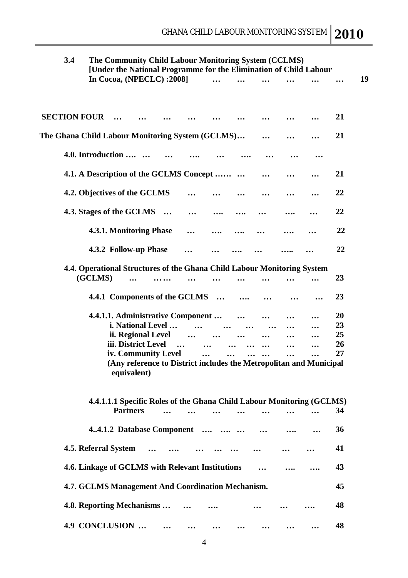| 3.4                                              |                                                                         | The Community Child Labour Monitoring System (CCLMS)<br>[Under the National Programme for the Elimination of Child Labour |                     |          |                                   |          |          |                       |           |                                                                                                                                             |    |
|--------------------------------------------------|-------------------------------------------------------------------------|---------------------------------------------------------------------------------------------------------------------------|---------------------|----------|-----------------------------------|----------|----------|-----------------------|-----------|---------------------------------------------------------------------------------------------------------------------------------------------|----|
|                                                  | In Cocoa, (NPECLC): 2008]                                               |                                                                                                                           |                     |          |                                   |          |          |                       |           |                                                                                                                                             |    |
| <b>SECTION FOUR</b>                              |                                                                         |                                                                                                                           |                     |          |                                   |          |          |                       |           |                                                                                                                                             | 21 |
|                                                  |                                                                         |                                                                                                                           |                     |          |                                   |          |          |                       |           |                                                                                                                                             |    |
| The Ghana Child Labour Monitoring System (GCLMS) |                                                                         |                                                                                                                           |                     |          |                                   |          |          |                       |           |                                                                                                                                             | 21 |
|                                                  | 4.0. Introduction                                                       |                                                                                                                           |                     |          |                                   |          |          |                       |           |                                                                                                                                             |    |
|                                                  | 4.1. A Description of the GCLMS Concept                                 |                                                                                                                           |                     |          |                                   |          |          |                       |           |                                                                                                                                             | 21 |
|                                                  | 4.2. Objectives of the GCLMS                                            |                                                                                                                           |                     |          |                                   |          |          |                       |           |                                                                                                                                             | 22 |
|                                                  | 4.3. Stages of the GCLMS                                                |                                                                                                                           |                     | $\cdots$ |                                   |          |          |                       |           |                                                                                                                                             | 22 |
|                                                  | 4.3.1. Monitoring Phase                                                 |                                                                                                                           |                     |          |                                   |          |          |                       |           |                                                                                                                                             | 22 |
|                                                  | 4.3.2 Follow-up Phase                                                   |                                                                                                                           |                     |          |                                   |          |          |                       |           |                                                                                                                                             | 22 |
|                                                  | 4.4. Operational Structures of the Ghana Child Labour Monitoring System |                                                                                                                           |                     |          |                                   |          |          |                       |           |                                                                                                                                             |    |
|                                                  | (GCLMS)                                                                 |                                                                                                                           |                     |          |                                   |          |          |                       |           |                                                                                                                                             | 23 |
|                                                  |                                                                         |                                                                                                                           |                     |          | 4.4.1 Components of the GCLMS     | $\cdots$ |          |                       |           |                                                                                                                                             | 23 |
|                                                  |                                                                         |                                                                                                                           |                     |          | 4.4.1.1. Administrative Component |          |          |                       |           |                                                                                                                                             | 20 |
|                                                  |                                                                         |                                                                                                                           | i. National Level   |          |                                   |          |          |                       |           |                                                                                                                                             | 23 |
|                                                  |                                                                         |                                                                                                                           | ii. Regional Level  |          |                                   |          |          |                       |           |                                                                                                                                             | 25 |
|                                                  |                                                                         |                                                                                                                           | iii. District Level |          | $\ddotsc$                         |          |          |                       |           |                                                                                                                                             | 26 |
|                                                  |                                                                         |                                                                                                                           | iv. Community Level |          |                                   | $\ldots$ | $\cdots$ | $\cdots$<br>$\ddotsc$ | $\ddotsc$ | $\ddotsc$                                                                                                                                   | 27 |
|                                                  |                                                                         | equivalent)<br><b>Partners</b>                                                                                            |                     |          |                                   |          |          |                       |           | (Any reference to District includes the Metropolitan and Municipal<br>4.4.1.1.1 Specific Roles of the Ghana Child Labour Monitoring (GCLMS) | 34 |
|                                                  |                                                                         |                                                                                                                           |                     |          | 4.4.1.2 Database Component        |          |          |                       |           |                                                                                                                                             | 36 |
|                                                  | 4.5. Referral System                                                    |                                                                                                                           |                     |          |                                   |          |          |                       |           |                                                                                                                                             | 41 |
|                                                  | 4.6. Linkage of GCLMS with Relevant Institutions                        |                                                                                                                           |                     |          |                                   |          |          |                       |           |                                                                                                                                             | 43 |
|                                                  | 4.7. GCLMS Management And Coordination Mechanism.                       |                                                                                                                           |                     |          |                                   |          |          |                       |           |                                                                                                                                             | 45 |
|                                                  | 4.8. Reporting Mechanisms                                               |                                                                                                                           |                     |          |                                   |          |          |                       |           |                                                                                                                                             | 48 |
|                                                  | 4.9 CONCLUSION                                                          |                                                                                                                           |                     |          |                                   |          |          |                       |           |                                                                                                                                             | 48 |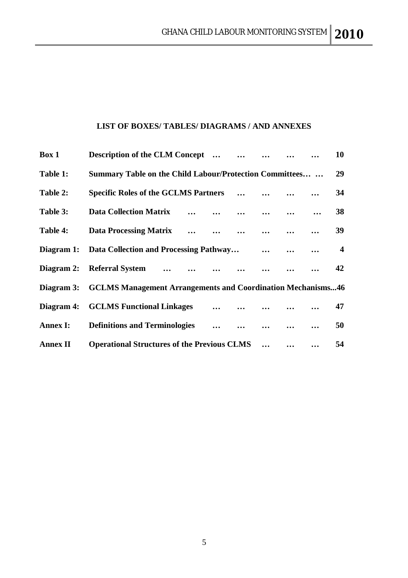#### **LIST OF BOXES/ TABLES/ DIAGRAMS / AND ANNEXES**

| Box 1           | <b>Description of the CLM Concept</b><br>$\cdots$                  |          |          |           | 10                      |
|-----------------|--------------------------------------------------------------------|----------|----------|-----------|-------------------------|
| Table 1:        | Summary Table on the Child Labour/Protection Committees            |          |          |           | 29                      |
| Table 2:        | <b>Specific Roles of the GCLMS Partners</b>                        | $\cdots$ |          |           | 34                      |
| Table 3:        | <b>Data Collection Matrix</b><br>$\cdots$ $\cdots$                 | $\cdots$ |          |           | 38                      |
| Table 4:        | <b>Data Processing Matrix</b>                                      |          |          |           | 39                      |
| Diagram 1:      | Data Collection and Processing Pathway                             |          | $\cdots$ | $\ddotsc$ | $\overline{\mathbf{4}}$ |
| Diagram 2:      | Referral System                                                    |          |          |           | 42                      |
| Diagram 3:      | <b>GCLMS Management Arrangements and Coordination Mechanisms46</b> |          |          |           |                         |
| Diagram 4:      | <b>GCLMS Functional Linkages</b><br>$\cdots$                       | $\cdots$ |          |           | 47                      |
| <b>Annex I:</b> | <b>Definitions and Terminologies</b>                               |          |          |           | 50                      |
| <b>Annex II</b> | <b>Operational Structures of the Previous CLMS</b>                 |          |          |           | 54                      |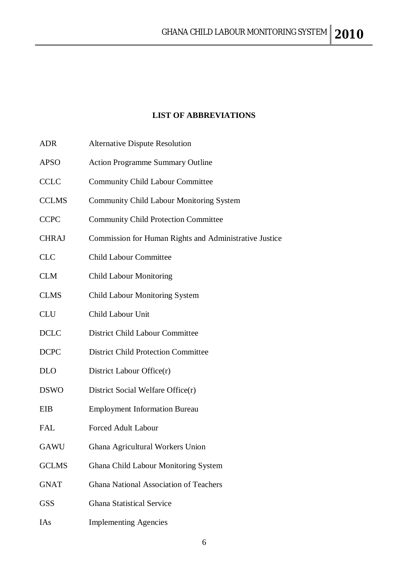## **LIST OF ABBREVIATIONS**

| <b>ADR</b>   | <b>Alternative Dispute Resolution</b>                  |
|--------------|--------------------------------------------------------|
| <b>APSO</b>  | <b>Action Programme Summary Outline</b>                |
| <b>CCLC</b>  | <b>Community Child Labour Committee</b>                |
| <b>CCLMS</b> | <b>Community Child Labour Monitoring System</b>        |
| <b>CCPC</b>  | <b>Community Child Protection Committee</b>            |
| <b>CHRAJ</b> | Commission for Human Rights and Administrative Justice |
| <b>CLC</b>   | <b>Child Labour Committee</b>                          |
| <b>CLM</b>   | <b>Child Labour Monitoring</b>                         |
| <b>CLMS</b>  | <b>Child Labour Monitoring System</b>                  |
| <b>CLU</b>   | Child Labour Unit                                      |
| <b>DCLC</b>  | <b>District Child Labour Committee</b>                 |
| <b>DCPC</b>  | <b>District Child Protection Committee</b>             |
| <b>DLO</b>   | District Labour Office(r)                              |
| <b>DSWO</b>  | District Social Welfare Office(r)                      |
| EIB          | <b>Employment Information Bureau</b>                   |
| <b>FAL</b>   | <b>Forced Adult Labour</b>                             |
| GAWU         | Ghana Agricultural Workers Union                       |
| <b>GCLMS</b> | Ghana Child Labour Monitoring System                   |
| <b>GNAT</b>  | Ghana National Association of Teachers                 |
| <b>GSS</b>   | <b>Ghana Statistical Service</b>                       |
|              |                                                        |

IAs Implementing Agencies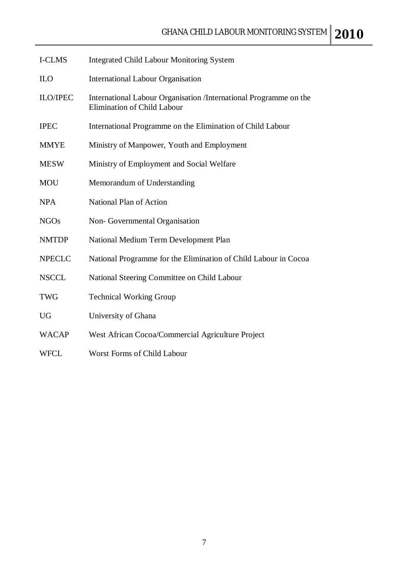| <b>I-CLMS</b>   | <b>Integrated Child Labour Monitoring System</b>                                                        |
|-----------------|---------------------------------------------------------------------------------------------------------|
| <b>ILO</b>      | <b>International Labour Organisation</b>                                                                |
| <b>ILO/IPEC</b> | International Labour Organisation /International Programme on the<br><b>Elimination of Child Labour</b> |
| <b>IPEC</b>     | International Programme on the Elimination of Child Labour                                              |
| <b>MMYE</b>     | Ministry of Manpower, Youth and Employment                                                              |
| <b>MESW</b>     | Ministry of Employment and Social Welfare                                                               |
| <b>MOU</b>      | Memorandum of Understanding                                                                             |
| <b>NPA</b>      | National Plan of Action                                                                                 |
| <b>NGOs</b>     | Non-Governmental Organisation                                                                           |
| <b>NMTDP</b>    | National Medium Term Development Plan                                                                   |
| <b>NPECLC</b>   | National Programme for the Elimination of Child Labour in Cocoa                                         |
| <b>NSCCL</b>    | National Steering Committee on Child Labour                                                             |
| <b>TWG</b>      | <b>Technical Working Group</b>                                                                          |
| <b>UG</b>       | University of Ghana                                                                                     |
| <b>WACAP</b>    | West African Cocoa/Commercial Agriculture Project                                                       |
| WFCL            | Worst Forms of Child Labour                                                                             |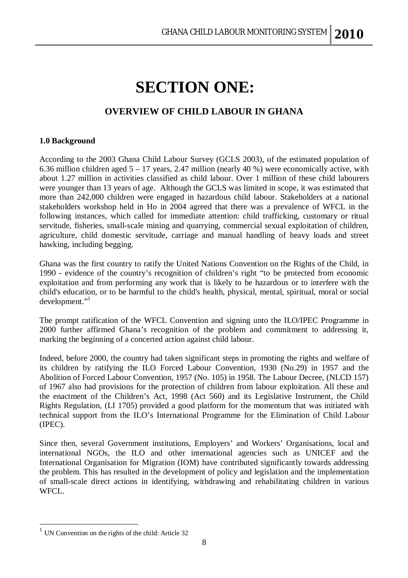# **SECTION ONE:**

## **OVERVIEW OF CHILD LABOUR IN GHANA**

#### **1.0 Background**

According to the 2003 Ghana Child Labour Survey (GCLS 2003), of the estimated population of 6.36 million children aged  $5 - 17$  years, 2.47 million (nearly 40 %) were economically active, with about 1.27 million in activities classified as child labour. Over 1 million of these child labourers were younger than 13 years of age. Although the GCLS was limited in scope, it was estimated that more than 242,000 children were engaged in hazardous child labour. Stakeholders at a national stakeholders workshop held in Ho in 2004 agreed that there was a prevalence of WFCL in the following instances, which called for immediate attention: child trafficking, customary or ritual servitude, fisheries, small-scale mining and quarrying, commercial sexual exploitation of children, agriculture, child domestic servitude, carriage and manual handling of heavy loads and street hawking, including begging.

Ghana was the first country to ratify the United Nations Convention on the Rights of the Child, in 1990 - evidence of the country's recognition of children's right "to be protected from economic exploitation and from performing any work that is likely to be hazardous or to interfere with the child's education, or to be harmful to the child's health, physical, mental, spiritual, moral or social development."<sup>1</sup>

The prompt ratification of the WFCL Convention and signing unto the ILO/IPEC Programme in 2000 further affirmed Ghana's recognition of the problem and commitment to addressing it, marking the beginning of a concerted action against child labour.

Indeed, before 2000, the country had taken significant steps in promoting the rights and welfare of its children by ratifying the ILO Forced Labour Convention, 1930 (No.29) in 1957 and the Abolition of Forced Labour Convention, 1957 (No. 105) in 1958. The Labour Decree, (NLCD 157) of 1967 also had provisions for the protection of children from labour exploitation. All these and the enactment of the Children's Act, 1998 (Act 560) and its Legislative Instrument, the Child Rights Regulation, (LI 1705) provided a good platform for the momentum that was initiated with technical support from the ILO's International Programme for the Elimination of Child Labour (IPEC).

Since then, several Government institutions, Employers' and Workers' Organisations, local and international NGOs, the ILO and other international agencies such as UNICEF and the International Organisation for Migration (IOM) have contributed significantly towards addressing the problem. This has resulted in the development of policy and legislation and the implementation of small-scale direct actions in identifying, withdrawing and rehabilitating children in various WFCL.

 $\overline{a}$ 

<sup>&</sup>lt;sup>1</sup> UN Convention on the rights of the child: Article 32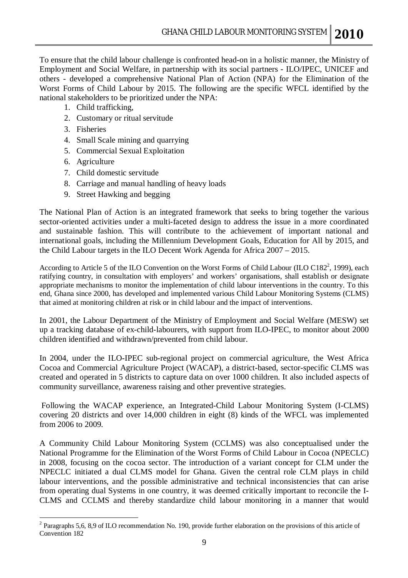To ensure that the child labour challenge is confronted head-on in a holistic manner, the Ministry of Employment and Social Welfare, in partnership with its social partners - ILO/IPEC, UNICEF and others - developed a comprehensive National Plan of Action (NPA) for the Elimination of the Worst Forms of Child Labour by 2015. The following are the specific WFCL identified by the national stakeholders to be prioritized under the NPA:

- 1. Child trafficking,
- 2. Customary or ritual servitude
- 3. Fisheries
- 4. Small Scale mining and quarrying
- 5. Commercial Sexual Exploitation
- 6. Agriculture

 $\overline{a}$ 

- 7. Child domestic servitude
- 8. Carriage and manual handling of heavy loads
- 9. Street Hawking and begging

The National Plan of Action is an integrated framework that seeks to bring together the various sector-oriented activities under a multi-faceted design to address the issue in a more coordinated and sustainable fashion. This will contribute to the achievement of important national and international goals, including the Millennium Development Goals, Education for All by 2015, and the Child Labour targets in the ILO Decent Work Agenda for Africa 2007 – 2015.

According to Article 5 of the ILO Convention on the Worst Forms of Child Labour (ILO C182<sup>2</sup>, 1999), each ratifying country, in consultation with employers' and workers' organisations, shall establish or designate appropriate mechanisms to monitor the implementation of child labour interventions in the country. To this end, Ghana since 2000, has developed and implemented various Child Labour Monitoring Systems (CLMS) that aimed at monitoring children at risk or in child labour and the impact of interventions.

In 2001, the Labour Department of the Ministry of Employment and Social Welfare (MESW) set up a tracking database of ex-child-labourers, with support from ILO-IPEC, to monitor about 2000 children identified and withdrawn/prevented from child labour.

In 2004, under the ILO-IPEC sub-regional project on commercial agriculture, the West Africa Cocoa and Commercial Agriculture Project (WACAP), a district-based, sector-specific CLMS was created and operated in 5 districts to capture data on over 1000 children. It also included aspects of community surveillance, awareness raising and other preventive strategies.

Following the WACAP experience, an Integrated-Child Labour Monitoring System (I-CLMS) covering 20 districts and over 14,000 children in eight (8) kinds of the WFCL was implemented from 2006 to 2009.

A Community Child Labour Monitoring System (CCLMS) was also conceptualised under the National Programme for the Elimination of the Worst Forms of Child Labour in Cocoa (NPECLC) in 2008, focusing on the cocoa sector. The introduction of a variant concept for CLM under the NPECLC initiated a dual CLMS model for Ghana. Given the central role CLM plays in child labour interventions, and the possible administrative and technical inconsistencies that can arise from operating dual Systems in one country, it was deemed critically important to reconcile the I-CLMS and CCLMS and thereby standardize child labour monitoring in a manner that would

 $2$  Paragraphs 5,6, 8,9 of ILO recommendation No. 190, provide further elaboration on the provisions of this article of Convention 182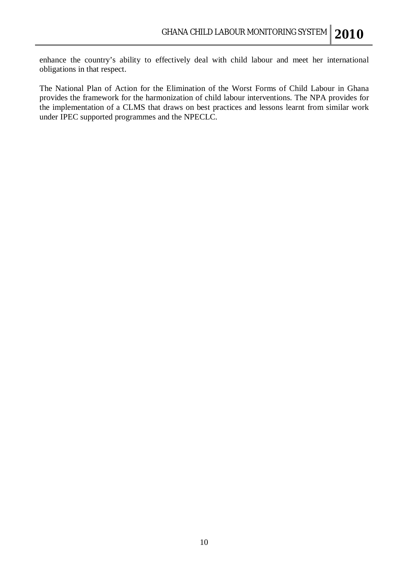enhance the country's ability to effectively deal with child labour and meet her international obligations in that respect.

The National Plan of Action for the Elimination of the Worst Forms of Child Labour in Ghana provides the framework for the harmonization of child labour interventions. The NPA provides for the implementation of a CLMS that draws on best practices and lessons learnt from similar work under IPEC supported programmes and the NPECLC.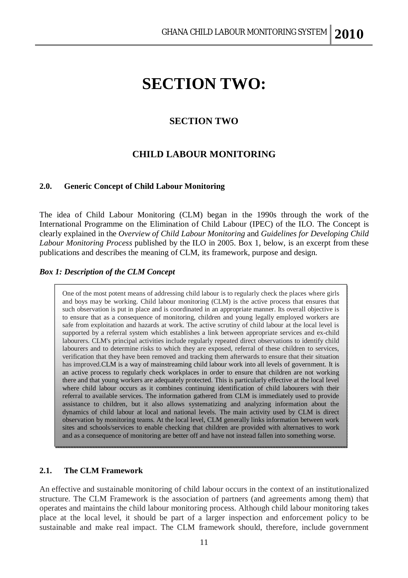## **SECTION TWO:**

### **SECTION TWO**

### **CHILD LABOUR MONITORING**

#### **2.0. Generic Concept of Child Labour Monitoring**

The idea of Child Labour Monitoring (CLM) began in the 1990s through the work of the International Programme on the Elimination of Child Labour (IPEC) of the ILO. The Concept is clearly explained in the *Overview of Child Labour Monitoring* and *Guidelines for Developing Child Labour Monitoring Process* published by the ILO in 2005. Box 1, below, is an excerpt from these publications and describes the meaning of CLM, its framework, purpose and design.

#### *Box 1: Description of the CLM Concept*

One of the most potent means of addressing child labour is to regularly check the places where girls and boys may be working. Child labour monitoring (CLM) is the active process that ensures that such observation is put in place and is coordinated in an appropriate manner. Its overall objective is **1.4** to ensure that as a consequence of monitoring, children and young legally employed workers are sare from exploitation and nazards at work. The active scrutify of child fabour at the local level is<br>supported by a referral system which establishes a link between appropriate services and ex-child labourers. CLM's principal activities include regularly repeated direct observations to identify child labourers and to determine risks to which they are exposed, referral of these children to services, verification that they have been removed and tracking them afterwards to ensure that their situation has improved.CLM is a way of mainstreaming child labour work into all levels of government. It is an active process to regularly check workplaces in order to ensure that children are not working<br>there and that young workers are adequately protected. This is particularly effective at the local level **1.11** where child labour occurs as it combines continuing identification of child labourers with their referral to available services. The information gathered from CLM is immediately used to provide **1.13** assistance to children, but it also allows systematizing and analyzing information about the **1.14** dynamics of child labour at local and national levels. The main activity used by CLM is direct **1.15** observation by momtoring teams. At the local level, CLM generally links information between work sites and schools/services to enable checking that children are provided with alternatives to work and as a consequence of monitoring are better off and have not instead fallen into something worse. safe from exploitation and hazards at work. The active scrutiny of child labour at the local level is an active process to regularly check workplaces in order to ensure that children are not working observation by monitoring teams. At the local level, CLM generally links information between work

#### **2.1. The CLM Framework**

An effective and sustainable monitoring of child labour occurs in the context of an institutionalized structure. The CLM Framework is the association of partners (and agreements among them) that operates and maintains the child labour monitoring process. Although child labour monitoring takes place at the local level, it should be part of a larger inspection and enforcement policy to be sustainable and make real impact. The CLM framework should, therefore, include government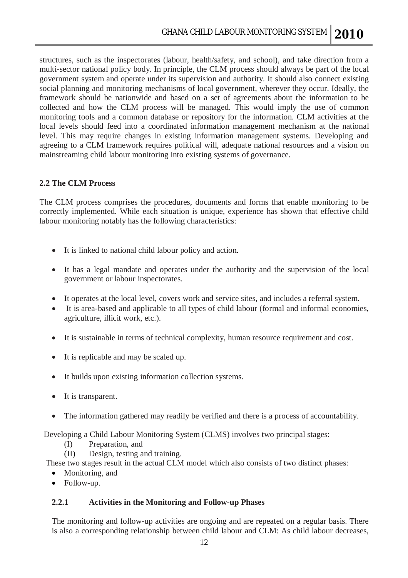structures, such as the inspectorates (labour, health/safety, and school), and take direction from a multi-sector national policy body. In principle, the CLM process should always be part of the local government system and operate under its supervision and authority. It should also connect existing social planning and monitoring mechanisms of local government, wherever they occur. Ideally, the framework should be nationwide and based on a set of agreements about the information to be collected and how the CLM process will be managed. This would imply the use of common monitoring tools and a common database or repository for the information. CLM activities at the local levels should feed into a coordinated information management mechanism at the national level. This may require changes in existing information management systems. Developing and agreeing to a CLM framework requires political will, adequate national resources and a vision on mainstreaming child labour monitoring into existing systems of governance.

#### **2.2 The CLM Process**

The CLM process comprises the procedures, documents and forms that enable monitoring to be correctly implemented. While each situation is unique, experience has shown that effective child labour monitoring notably has the following characteristics:

- It is linked to national child labour policy and action.
- It has a legal mandate and operates under the authority and the supervision of the local government or labour inspectorates.
- It operates at the local level, covers work and service sites, and includes a referral system.
- It is area-based and applicable to all types of child labour (formal and informal economies, agriculture, illicit work, etc.).
- It is sustainable in terms of technical complexity, human resource requirement and cost.
- It is replicable and may be scaled up.
- It builds upon existing information collection systems.
- It is transparent.
- The information gathered may readily be verified and there is a process of accountability.

Developing a Child Labour Monitoring System (CLMS) involves two principal stages:

- (I) Preparation, and
- (II) Design, testing and training.

These two stages result in the actual CLM model which also consists of two distinct phases:

- Monitoring, and
- Follow-up.

#### **2.2.1 Activities in the Monitoring and Follow-up Phases**

The monitoring and follow-up activities are ongoing and are repeated on a regular basis. There is also a corresponding relationship between child labour and CLM: As child labour decreases,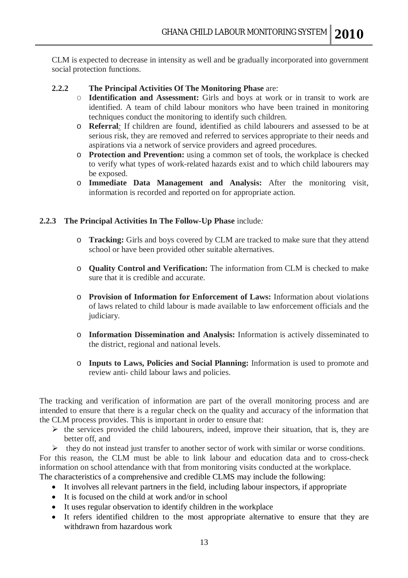CLM is expected to decrease in intensity as well and be gradually incorporated into government social protection functions.

- **2.2.2 The Principal Activities Of The Monitoring Phase** are:
	- o **Identification and Assessment:** Girls and boys at work or in transit to work are identified. A team of child labour monitors who have been trained in monitoring techniques conduct the monitoring to identify such children.
	- o **Referral***:* If children are found, identified as child labourers and assessed to be at serious risk, they are removed and referred to services appropriate to their needs and aspirations via a network of service providers and agreed procedures.
	- o **Protection and Prevention:** using a common set of tools, the workplace is checked to verify what types of work-related hazards exist and to which child labourers may be exposed.
	- o **Immediate Data Management and Analysis:** After the monitoring visit, information is recorded and reported on for appropriate action.

#### **2.2.3 The Principal Activities In The Follow-Up Phase** include*:*

- o **Tracking:** Girls and boys covered by CLM are tracked to make sure that they attend school or have been provided other suitable alternatives.
- o **Quality Control and Verification:** The information from CLM is checked to make sure that it is credible and accurate.
- o **Provision of Information for Enforcement of Laws:** Information about violations of laws related to child labour is made available to law enforcement officials and the judiciary.
- o **Information Dissemination and Analysis:** Information is actively disseminated to the district, regional and national levels.
- o **Inputs to Laws, Policies and Social Planning:** Information is used to promote and review anti- child labour laws and policies.

The tracking and verification of information are part of the overall monitoring process and are intended to ensure that there is a regular check on the quality and accuracy of the information that the CLM process provides. This is important in order to ensure that:

- $\triangleright$  the services provided the child labourers, indeed, improve their situation, that is, they are better off, and
- $\triangleright$  they do not instead just transfer to another sector of work with similar or worse conditions.

For this reason, the CLM must be able to link labour and education data and to cross-check information on school attendance with that from monitoring visits conducted at the workplace.

The characteristics of a comprehensive and credible CLMS may include the following:

- It involves all relevant partners in the field, including labour inspectors, if appropriate
- It is focused on the child at work and/or in school
- It uses regular observation to identify children in the workplace
- It refers identified children to the most appropriate alternative to ensure that they are withdrawn from hazardous work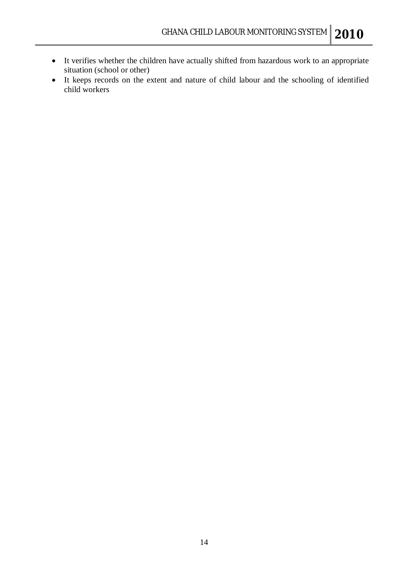- It verifies whether the children have actually shifted from hazardous work to an appropriate situation (school or other)
- It keeps records on the extent and nature of child labour and the schooling of identified child workers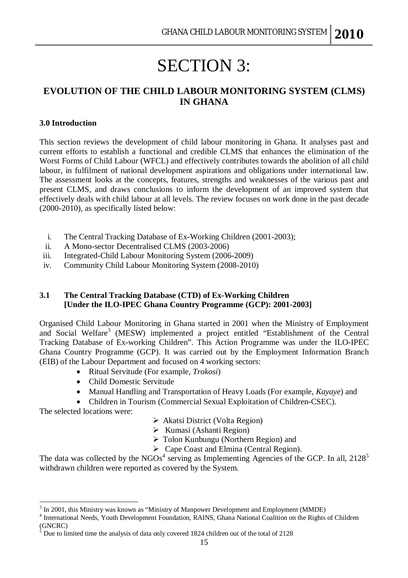# SECTION 3:

### **EVOLUTION OF THE CHILD LABOUR MONITORING SYSTEM (CLMS) IN GHANA**

#### **3.0 Introduction**

This section reviews the development of child labour monitoring in Ghana. It analyses past and current efforts to establish a functional and credible CLMS that enhances the elimination of the Worst Forms of Child Labour (WFCL) and effectively contributes towards the abolition of all child labour, in fulfilment of national development aspirations and obligations under international law. The assessment looks at the concepts, features, strengths and weaknesses of the various past and present CLMS, and draws conclusions to inform the development of an improved system that effectively deals with child labour at all levels. The review focuses on work done in the past decade (2000-2010), as specifically listed below:

- i. The Central Tracking Database of Ex-Working Children (2001-2003);
- ii. A Mono-sector Decentralised CLMS (2003-2006)
- iii. Integrated-Child Labour Monitoring System (2006-2009)
- iv. Community Child Labour Monitoring System (2008-2010)

#### **3.1 The Central Tracking Database (CTD) of Ex-Working Children [Under the ILO-IPEC Ghana Country Programme (GCP): 2001-2003]**

Organised Child Labour Monitoring in Ghana started in 2001 when the Ministry of Employment and Social Welfare<sup>3</sup> (MESW) implemented a project entitled "Establishment of the Central Tracking Database of Ex-working Children". This Action Programme was under the ILO-IPEC Ghana Country Programme (GCP). It was carried out by the Employment Information Branch (EIB) of the Labour Department and focused on 4 working sectors:

- Ritual Servitude (For example, *Trokosi*)
- Child Domestic Servitude
- Manual Handling and Transportation of Heavy Loads (For example, *Kayaye*) and
- Children in Tourism (Commercial Sexual Exploitation of Children-CSEC).

The selected locations were:

- Akatsi District (Volta Region)
- $\triangleright$  Kumasi (Ashanti Region)
- Tolon Kunbungu (Northern Region) and
- Cape Coast and Elmina (Central Region).

The data was collected by the NGOs<sup>4</sup> serving as Implementing Agencies of the GCP. In all,  $2128^5$ withdrawn children were reported as covered by the System.

 $\overline{a}$ <sup>3</sup> In 2001, this Ministry was known as "Ministry of Manpower Development and Employment (MMDE)

<sup>&</sup>lt;sup>4</sup> International Needs, Youth Development Foundation, RAINS, Ghana National Coalition on the Rights of Children (GNCRC)

 $5$  Due to limited time the analysis of data only covered 1824 children out of the total of 2128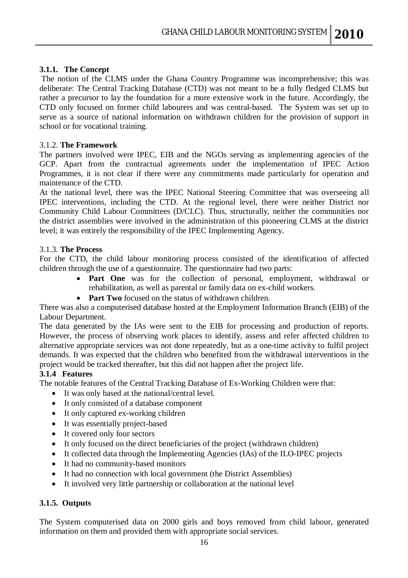#### **3.1.1. The Concept**

The notion of the CLMS under the Ghana Country Programme was incomprehensive; this was deliberate: The Central Tracking Database (CTD) was not meant to be a fully fledged CLMS but rather a precursor to lay the foundation for a more extensive work in the future. Accordingly, the CTD only focused on former child labourers and was central-based. The System was set up to serve as a source of national information on withdrawn children for the provision of support in school or for vocational training.

#### 3.1.2. **The Framework**

The partners involved were IPEC, EIB and the NGOs serving as implementing agencies of the GCP. Apart from the contractual agreements under the implementation of IPEC Action Programmes, it is not clear if there were any commitments made particularly for operation and maintenance of the CTD.

At the national level, there was the IPEC National Steering Committee that was overseeing all IPEC interventions, including the CTD. At the regional level, there were neither District nor Community Child Labour Committees (D/CLC). Thus, structurally, neither the communities nor the district assemblies were involved in the administration of this pioneering CLMS at the district level; it was entirely the responsibility of the IPEC Implementing Agency.

#### 3.1.3. **The Process**

For the CTD, the child labour monitoring process consisted of the identification of affected children through the use of a questionnaire. The questionnaire had two parts:

- **Part One** was for the collection of personal, employment, withdrawal or rehabilitation, as well as parental or family data on ex-child workers.
- **Part Two** focused on the status of withdrawn children.

There was also a computerised database hosted at the Employment Information Branch (EIB) of the Labour Department.

The data generated by the IAs were sent to the EIB for processing and production of reports. However, the process of observing work places to identify, assess and refer affected children to alternative appropriate services was not done repeatedly, but as a one-time activity to fulfil project demands. It was expected that the children who benefited from the withdrawal interventions in the project would be tracked thereafter, but this did not happen after the project life.

#### **3.1.4 Features**

The notable features of the Central Tracking Database of Ex-Working Children were that:

- It was only based at the national/central level.
- It only consisted of a database component
- It only captured ex-working children
- It was essentially project-based
- It covered only four sectors
- It only focused on the direct beneficiaries of the project (withdrawn children)
- It collected data through the Implementing Agencies (IAs) of the ILO-IPEC projects
- It had no community-based monitors
- It had no connection with local government (the District Assemblies)
- It involved very little partnership or collaboration at the national level

#### **3.1.5. Outputs**

The System computerised data on 2000 girls and boys removed from child labour, generated information on them and provided them with appropriate social services.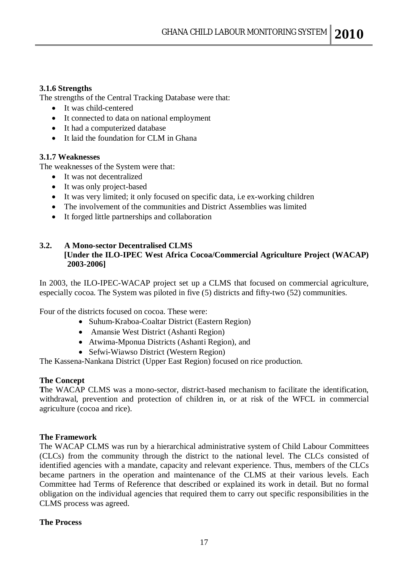#### **3.1.6 Strengths**

The strengths of the Central Tracking Database were that:

- It was child-centered
- It connected to data on national employment
- It had a computerized database
- It laid the foundation for CLM in Ghana

#### **3.1.7 Weaknesses**

The weaknesses of the System were that:

- It was not decentralized
- It was only project-based
- It was very limited; it only focused on specific data, i.e ex-working children
- The involvement of the communities and District Assemblies was limited
- It forged little partnerships and collaboration

#### **3.2. A Mono-sector Decentralised CLMS [Under the ILO-IPEC West Africa Cocoa/Commercial Agriculture Project (WACAP) 2003-2006]**

In 2003, the ILO-IPEC-WACAP project set up a CLMS that focused on commercial agriculture, especially cocoa. The System was piloted in five (5) districts and fifty-two (52) communities.

Four of the districts focused on cocoa. These were:

- Suhum-Kraboa-Coaltar District (Eastern Region)
- Amansie West District (Ashanti Region)
- Atwima-Mponua Districts (Ashanti Region), and
- Sefwi-Wiawso District (Western Region)

The Kassena-Nankana District (Upper East Region) focused on rice production.

#### **The Concept**

**T**he WACAP CLMS was a mono-sector, district-based mechanism to facilitate the identification, withdrawal, prevention and protection of children in, or at risk of the WFCL in commercial agriculture (cocoa and rice).

#### **The Framework**

The WACAP CLMS was run by a hierarchical administrative system of Child Labour Committees (CLCs) from the community through the district to the national level. The CLCs consisted of identified agencies with a mandate, capacity and relevant experience. Thus, members of the CLCs became partners in the operation and maintenance of the CLMS at their various levels. Each Committee had Terms of Reference that described or explained its work in detail. But no formal obligation on the individual agencies that required them to carry out specific responsibilities in the CLMS process was agreed.

#### **The Process**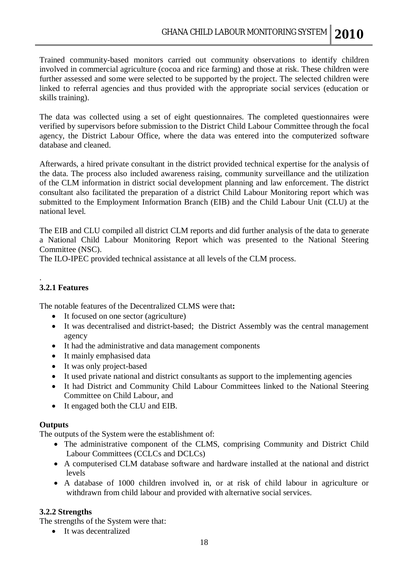Trained community-based monitors carried out community observations to identify children involved in commercial agriculture (cocoa and rice farming) and those at risk. These children were further assessed and some were selected to be supported by the project. The selected children were linked to referral agencies and thus provided with the appropriate social services (education or skills training).

The data was collected using a set of eight questionnaires. The completed questionnaires were verified by supervisors before submission to the District Child Labour Committee through the focal agency, the District Labour Office, where the data was entered into the computerized software database and cleaned.

Afterwards, a hired private consultant in the district provided technical expertise for the analysis of the data. The process also included awareness raising, community surveillance and the utilization of the CLM information in district social development planning and law enforcement. The district consultant also facilitated the preparation of a district Child Labour Monitoring report which was submitted to the Employment Information Branch (EIB) and the Child Labour Unit (CLU) at the national level.

The EIB and CLU compiled all district CLM reports and did further analysis of the data to generate a National Child Labour Monitoring Report which was presented to the National Steering Committee (NSC).

The ILO-IPEC provided technical assistance at all levels of the CLM process.

#### . **3.2.1 Features**

The notable features of the Decentralized CLMS were that**:**

- It focused on one sector (agriculture)
- It was decentralised and district-based; the District Assembly was the central management agency
- It had the administrative and data management components
- It mainly emphasised data
- It was only project-based
- It used private national and district consultants as support to the implementing agencies
- It had District and Community Child Labour Committees linked to the National Steering Committee on Child Labour, and
- It engaged both the CLU and EIB.

#### **Outputs**

The outputs of the System were the establishment of:

- The administrative component of the CLMS, comprising Community and District Child Labour Committees (CCLCs and DCLCs)
- A computerised CLM database software and hardware installed at the national and district levels
- A database of 1000 children involved in, or at risk of child labour in agriculture or withdrawn from child labour and provided with alternative social services.

#### **3.2.2 Strengths**

The strengths of the System were that:

• It was decentralized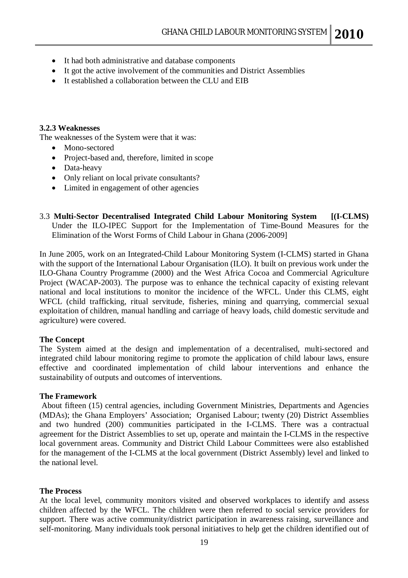- It had both administrative and database components
- It got the active involvement of the communities and District Assemblies
- It established a collaboration between the CLU and EIB

#### **3.2.3 Weaknesses**

The weaknesses of the System were that it was:

- Mono-sectored
- Project-based and, therefore, limited in scope
- Data-heavy
- Only reliant on local private consultants?
- Limited in engagement of other agencies
- 3.3 **Multi-Sector Decentralised Integrated Child Labour Monitoring System [(I-CLMS)**  Under the ILO-IPEC Support for the Implementation of Time-Bound Measures for the Elimination of the Worst Forms of Child Labour in Ghana (2006-2009]

In June 2005, work on an Integrated-Child Labour Monitoring System (I-CLMS) started in Ghana with the support of the International Labour Organisation (ILO). It built on previous work under the ILO-Ghana Country Programme (2000) and the West Africa Cocoa and Commercial Agriculture Project (WACAP-2003). The purpose was to enhance the technical capacity of existing relevant national and local institutions to monitor the incidence of the WFCL. Under this CLMS, eight WFCL (child trafficking, ritual servitude, fisheries, mining and quarrying, commercial sexual exploitation of children, manual handling and carriage of heavy loads, child domestic servitude and agriculture) were covered.

#### **The Concept**

The System aimed at the design and implementation of a decentralised, multi-sectored and integrated child labour monitoring regime to promote the application of child labour laws, ensure effective and coordinated implementation of child labour interventions and enhance the sustainability of outputs and outcomes of interventions.

#### **The Framework**

About fifteen (15) central agencies, including Government Ministries, Departments and Agencies (MDAs); the Ghana Employers' Association; Organised Labour; twenty (20) District Assemblies and two hundred (200) communities participated in the I-CLMS. There was a contractual agreement for the District Assemblies to set up, operate and maintain the I-CLMS in the respective local government areas. Community and District Child Labour Committees were also established for the management of the I-CLMS at the local government (District Assembly) level and linked to the national level.

#### **The Process**

At the local level, community monitors visited and observed workplaces to identify and assess children affected by the WFCL. The children were then referred to social service providers for support. There was active community/district participation in awareness raising, surveillance and self-monitoring. Many individuals took personal initiatives to help get the children identified out of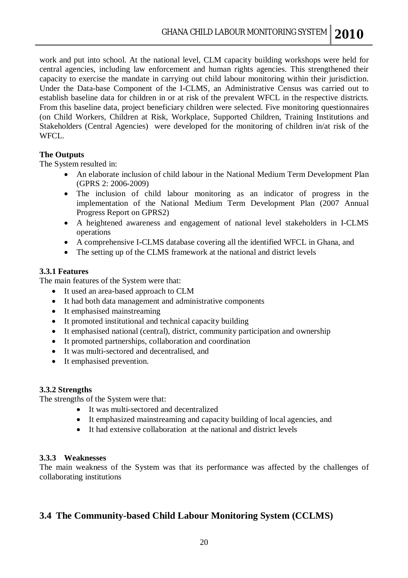work and put into school. At the national level, CLM capacity building workshops were held for central agencies, including law enforcement and human rights agencies. This strengthened their capacity to exercise the mandate in carrying out child labour monitoring within their jurisdiction. Under the Data-base Component of the I-CLMS, an Administrative Census was carried out to establish baseline data for children in or at risk of the prevalent WFCL in the respective districts. From this baseline data, project beneficiary children were selected. Five monitoring questionnaires (on Child Workers, Children at Risk, Workplace, Supported Children, Training Institutions and Stakeholders (Central Agencies) were developed for the monitoring of children in/at risk of the WFCL.

#### **The Outputs**

The System resulted in:

- An elaborate inclusion of child labour in the National Medium Term Development Plan (GPRS 2: 2006-2009)
- The inclusion of child labour monitoring as an indicator of progress in the implementation of the National Medium Term Development Plan (2007 Annual Progress Report on GPRS2)
- A heightened awareness and engagement of national level stakeholders in I-CLMS operations
- A comprehensive I-CLMS database covering all the identified WFCL in Ghana, and
- The setting up of the CLMS framework at the national and district levels

#### **3.3.1 Features**

The main features of the System were that:

- It used an area-based approach to CLM
- It had both data management and administrative components
- It emphasised mainstreaming
- It promoted institutional and technical capacity building
- It emphasised national (central), district, community participation and ownership
- It promoted partnerships, collaboration and coordination
- It was multi-sectored and decentralised, and
- It emphasised prevention.

#### **3.3.2 Strengths**

The strengths of the System were that:

- It was multi-sectored and decentralized
- It emphasized mainstreaming and capacity building of local agencies, and
- It had extensive collaboration at the national and district levels

#### **3.3.3 Weaknesses**

The main weakness of the System was that its performance was affected by the challenges of collaborating institutions

## **3.4 The Community-based Child Labour Monitoring System (CCLMS)**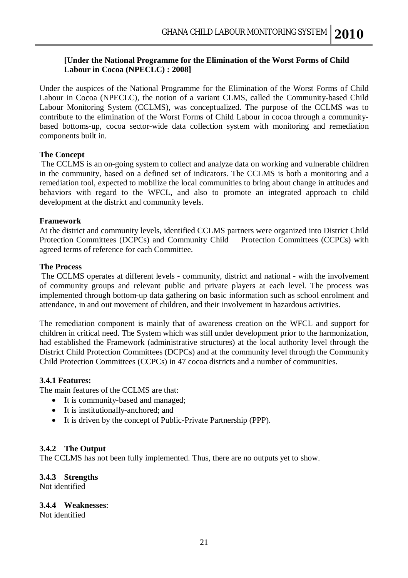#### **[Under the National Programme for the Elimination of the Worst Forms of Child Labour in Cocoa (NPECLC) : 2008]**

Under the auspices of the National Programme for the Elimination of the Worst Forms of Child Labour in Cocoa (NPECLC), the notion of a variant CLMS, called the Community-based Child Labour Monitoring System (CCLMS), was conceptualized. The purpose of the CCLMS was to contribute to the elimination of the Worst Forms of Child Labour in cocoa through a communitybased bottoms-up, cocoa sector-wide data collection system with monitoring and remediation components built in.

#### **The Concept**

The CCLMS is an on-going system to collect and analyze data on working and vulnerable children in the community, based on a defined set of indicators. The CCLMS is both a monitoring and a remediation tool, expected to mobilize the local communities to bring about change in attitudes and behaviors with regard to the WFCL, and also to promote an integrated approach to child development at the district and community levels.

#### **Framework**

At the district and community levels, identified CCLMS partners were organized into District Child Protection Committees (DCPCs) and Community Child Protection Committees (CCPCs) with agreed terms of reference for each Committee.

#### **The Process**

The CCLMS operates at different levels - community, district and national - with the involvement of community groups and relevant public and private players at each level. The process was implemented through bottom-up data gathering on basic information such as school enrolment and attendance, in and out movement of children, and their involvement in hazardous activities.

The remediation component is mainly that of awareness creation on the WFCL and support for children in critical need. The System which was still under development prior to the harmonization, had established the Framework (administrative structures) at the local authority level through the District Child Protection Committees (DCPCs) and at the community level through the Community Child Protection Committees (CCPCs) in 47 cocoa districts and a number of communities.

#### **3.4.1 Features:**

The main features of the CCLMS are that:

- It is community-based and managed;
- It is institutionally-anchored; and
- It is driven by the concept of Public-Private Partnership (PPP).

#### **3.4.2 The Output**

The CCLMS has not been fully implemented. Thus, there are no outputs yet to show.

#### **3.4.3 Strengths**

Not identified

#### **3.4.4 Weaknesses**:

Not identified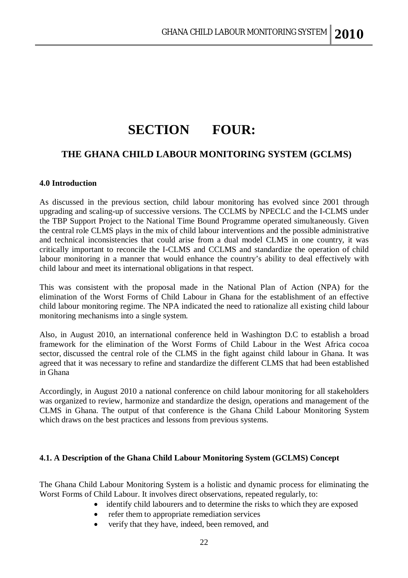## **SECTION FOUR:**

## **THE GHANA CHILD LABOUR MONITORING SYSTEM (GCLMS)**

#### **4.0 Introduction**

As discussed in the previous section, child labour monitoring has evolved since 2001 through upgrading and scaling-up of successive versions. The CCLMS by NPECLC and the I-CLMS under the TBP Support Project to the National Time Bound Programme operated simultaneously. Given the central role CLMS plays in the mix of child labour interventions and the possible administrative and technical inconsistencies that could arise from a dual model CLMS in one country, it was critically important to reconcile the I-CLMS and CCLMS and standardize the operation of child labour monitoring in a manner that would enhance the country's ability to deal effectively with child labour and meet its international obligations in that respect.

This was consistent with the proposal made in the National Plan of Action (NPA) for the elimination of the Worst Forms of Child Labour in Ghana for the establishment of an effective child labour monitoring regime. The NPA indicated the need to rationalize all existing child labour monitoring mechanisms into a single system.

Also, in August 2010, an international conference held in Washington D.C to establish a broad framework for the elimination of the Worst Forms of Child Labour in the West Africa cocoa sector, discussed the central role of the CLMS in the fight against child labour in Ghana. It was agreed that it was necessary to refine and standardize the different CLMS that had been established in Ghana

Accordingly, in August 2010 a national conference on child labour monitoring for all stakeholders was organized to review, harmonize and standardize the design, operations and management of the CLMS in Ghana. The output of that conference is the Ghana Child Labour Monitoring System which draws on the best practices and lessons from previous systems.

#### **4.1. A Description of the Ghana Child Labour Monitoring System (GCLMS) Concept**

The Ghana Child Labour Monitoring System is a holistic and dynamic process for eliminating the Worst Forms of Child Labour. It involves direct observations, repeated regularly, to:

- identify child labourers and to determine the risks to which they are exposed
	- refer them to appropriate remediation services
	- verify that they have, indeed, been removed, and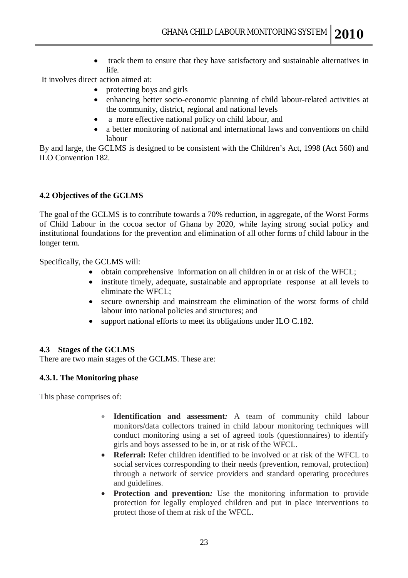• track them to ensure that they have satisfactory and sustainable alternatives in life.

It involves direct action aimed at:

- protecting boys and girls
- enhancing better socio-economic planning of child labour-related activities at the community, district, regional and national levels
- a more effective national policy on child labour, and
- a better monitoring of national and international laws and conventions on child labour

By and large, the GCLMS is designed to be consistent with the Children's Act, 1998 (Act 560) and ILO Convention 182.

#### **4.2 Objectives of the GCLMS**

The goal of the GCLMS is to contribute towards a 70% reduction*,* in aggregate, of the Worst Forms of Child Labour in the cocoa sector of Ghana by 2020, while laying strong social policy and institutional foundations for the prevention and elimination of all other forms of child labour in the longer term.

Specifically, the GCLMS will:

- obtain comprehensive information on all children in or at risk of the WFCL;
- institute timely, adequate, sustainable and appropriate response at all levels to eliminate the WFCL;
- secure ownership and mainstream the elimination of the worst forms of child labour into national policies and structures; and
- support national efforts to meet its obligations under ILO C.182.

#### **4.3 Stages of the GCLMS**

There are two main stages of the GCLMS. These are:

#### **4.3.1. The Monitoring phase**

This phase comprises of:

- **Identification and assessment***:* A team of community child labour monitors/data collectors trained in child labour monitoring techniques will conduct monitoring using a set of agreed tools (questionnaires) to identify girls and boys assessed to be in, or at risk of the WFCL.
- **Referral:** Refer children identified to be involved or at risk of the WFCL to social services corresponding to their needs (prevention, removal, protection) through a network of service providers and standard operating procedures and guidelines.
- **Protection and prevention:** Use the monitoring information to provide protection for legally employed children and put in place interventions to protect those of them at risk of the WFCL.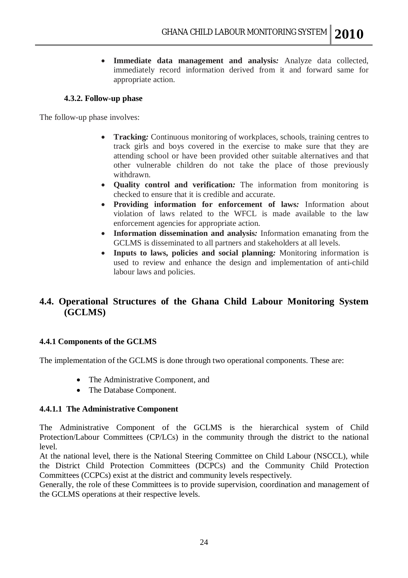**Immediate data management and analysis***:* Analyze data collected, immediately record information derived from it and forward same for appropriate action.

#### **4.3.2. Follow-up phase**

The follow-up phase involves:

- **Tracking***:* Continuous monitoring of workplaces, schools, training centres to track girls and boys covered in the exercise to make sure that they are attending school or have been provided other suitable alternatives and that other vulnerable children do not take the place of those previously withdrawn.
- **Quality control and verification***:* The information from monitoring is checked to ensure that it is credible and accurate.
- **Providing information for enforcement of laws***:* Information about violation of laws related to the WFCL is made available to the law enforcement agencies for appropriate action.
- **Information dissemination and analysis***:* Information emanating from the GCLMS is disseminated to all partners and stakeholders at all levels.
- **Inputs to laws, policies and social planning***:* Monitoring information is used to review and enhance the design and implementation of anti-child labour laws and policies.

## **4.4. Operational Structures of the Ghana Child Labour Monitoring System (GCLMS)**

#### **4.4.1 Components of the GCLMS**

The implementation of the GCLMS is done through two operational components. These are:

- The Administrative Component, and
- The Database Component.

#### **4.4.1.1 The Administrative Component**

The Administrative Component of the GCLMS is the hierarchical system of Child Protection/Labour Committees (CP/LCs) in the community through the district to the national level.

At the national level, there is the National Steering Committee on Child Labour (NSCCL), while the District Child Protection Committees (DCPCs) and the Community Child Protection Committees (CCPCs) exist at the district and community levels respectively.

Generally, the role of these Committees is to provide supervision, coordination and management of the GCLMS operations at their respective levels.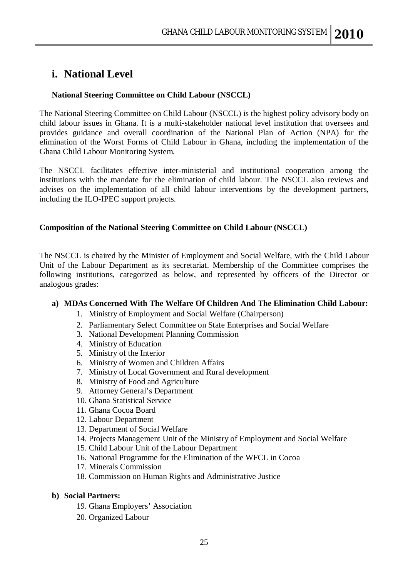## **i. National Level**

#### **National Steering Committee on Child Labour (NSCCL)**

The National Steering Committee on Child Labour (NSCCL) is the highest policy advisory body on child labour issues in Ghana. It is a multi-stakeholder national level institution that oversees and provides guidance and overall coordination of the National Plan of Action (NPA) for the elimination of the Worst Forms of Child Labour in Ghana, including the implementation of the Ghana Child Labour Monitoring System.

The NSCCL facilitates effective inter-ministerial and institutional cooperation among the institutions with the mandate for the elimination of child labour. The NSCCL also reviews and advises on the implementation of all child labour interventions by the development partners, including the ILO-IPEC support projects.

#### **Composition of the National Steering Committee on Child Labour (NSCCL)**

The NSCCL is chaired by the Minister of Employment and Social Welfare, with the Child Labour Unit of the Labour Department as its secretariat. Membership of the Committee comprises the following institutions, categorized as below, and represented by officers of the Director or analogous grades:

#### **a) MDAs Concerned With The Welfare Of Children And The Elimination Child Labour:**

- 1. Ministry of Employment and Social Welfare (Chairperson)
- 2. Parliamentary Select Committee on State Enterprises and Social Welfare
- 3. National Development Planning Commission
- 4. Ministry of Education
- 5. Ministry of the Interior
- 6. Ministry of Women and Children Affairs
- 7. Ministry of Local Government and Rural development
- 8. Ministry of Food and Agriculture
- 9. Attorney General's Department
- 10. Ghana Statistical Service
- 11. Ghana Cocoa Board
- 12. Labour Department
- 13. Department of Social Welfare
- 14. Projects Management Unit of the Ministry of Employment and Social Welfare
- 15. Child Labour Unit of the Labour Department
- 16. National Programme for the Elimination of the WFCL in Cocoa
- 17. Minerals Commission
- 18. Commission on Human Rights and Administrative Justice

#### **b) Social Partners:**

- 19. Ghana Employers' Association
- 20. Organized Labour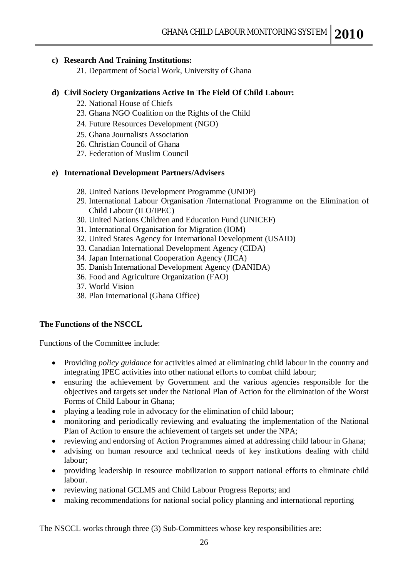#### **c) Research And Training Institutions:**

21. Department of Social Work, University of Ghana

#### **d) Civil Society Organizations Active In The Field Of Child Labour:**

- 22. National House of Chiefs
- 23. Ghana NGO Coalition on the Rights of the Child
- 24. Future Resources Development (NGO)
- 25. Ghana Journalists Association
- 26. Christian Council of Ghana
- 27. Federation of Muslim Council

#### **e) International Development Partners/Advisers**

- 28. United Nations Development Programme (UNDP)
- 29. International Labour Organisation /International Programme on the Elimination of Child Labour (ILO/IPEC)
- 30. United Nations Children and Education Fund (UNICEF)
- 31. International Organisation for Migration (IOM)
- 32. United States Agency for International Development (USAID)
- 33. Canadian International Development Agency (CIDA)
- 34. Japan International Cooperation Agency (JICA)
- 35. Danish International Development Agency (DANIDA)
- 36. Food and Agriculture Organization (FAO)
- 37. World Vision
- 38. Plan International (Ghana Office)

#### **The Functions of the NSCCL**

Functions of the Committee include:

- Providing *policy guidance* for activities aimed at eliminating child labour in the country and integrating IPEC activities into other national efforts to combat child labour;
- ensuring the achievement by Government and the various agencies responsible for the objectives and targets set under the National Plan of Action for the elimination of the Worst Forms of Child Labour in Ghana;
- playing a leading role in advocacy for the elimination of child labour;
- monitoring and periodically reviewing and evaluating the implementation of the National Plan of Action to ensure the achievement of targets set under the NPA;
- reviewing and endorsing of Action Programmes aimed at addressing child labour in Ghana;
- advising on human resource and technical needs of key institutions dealing with child labour;
- providing leadership in resource mobilization to support national efforts to eliminate child labour.
- reviewing national GCLMS and Child Labour Progress Reports; and
- making recommendations for national social policy planning and international reporting

The NSCCL works through three (3) Sub-Committees whose key responsibilities are: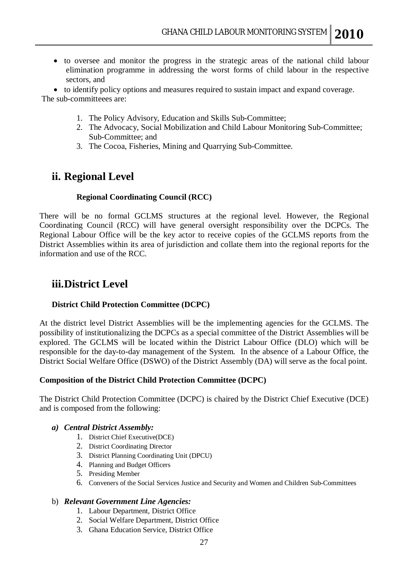to oversee and monitor the progress in the strategic areas of the national child labour elimination programme in addressing the worst forms of child labour in the respective sectors, and

 to identify policy options and measures required to sustain impact and expand coverage. The sub-committeees are:

- 1. The Policy Advisory, Education and Skills Sub-Committee;
- 2. The Advocacy, Social Mobilization and Child Labour Monitoring Sub-Committee; Sub-Committee; and
- 3. The Cocoa, Fisheries, Mining and Quarrying Sub-Committee.

## **ii. Regional Level**

#### **Regional Coordinating Council (RCC)**

There will be no formal GCLMS structures at the regional level. However, the Regional Coordinating Council (RCC) will have general oversight responsibility over the DCPCs. The Regional Labour Office will be the key actor to receive copies of the GCLMS reports from the District Assemblies within its area of jurisdiction and collate them into the regional reports for the information and use of the RCC.

## **iii.District Level**

#### **District Child Protection Committee (DCPC)**

At the district level District Assemblies will be the implementing agencies for the GCLMS. The possibility of institutionalizing the DCPCs as a special committee of the District Assemblies will be explored. The GCLMS will be located within the District Labour Office (DLO) which will be responsible for the day-to-day management of the System. In the absence of a Labour Office, the District Social Welfare Office (DSWO) of the District Assembly (DA) will serve as the focal point.

#### **Composition of the District Child Protection Committee (DCPC)**

The District Child Protection Committee (DCPC) is chaired by the District Chief Executive (DCE) and is composed from the following:

#### *a) Central District Assembly:*

- 1. District Chief Executive(DCE)
- 2. District Coordinating Director
- 3. District Planning Coordinating Unit (DPCU)
- 4. Planning and Budget Officers
- 5. Presiding Member
- 6. Conveners of the Social Services Justice and Security and Women and Children Sub-Committees

#### b) *Relevant Government Line Agencies:*

- 1. Labour Department, District Office
- 2. Social Welfare Department, District Office
- 3. Ghana Education Service, District Office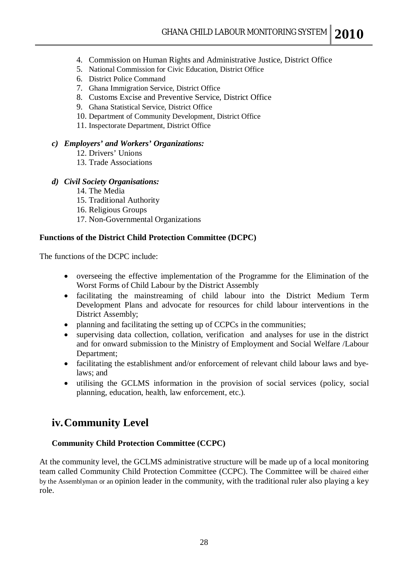- 4. Commission on Human Rights and Administrative Justice, District Office
- 5. National Commission for Civic Education, District Office
- 6. District Police Command
- 7. Ghana Immigration Service, District Office
- 8. Customs Excise and Preventive Service, District Office
- 9. Ghana Statistical Service, District Office
- 10. Department of Community Development, District Office
- 11. Inspectorate Department, District Office

#### *c) Employers' and Workers' Organizations:*

- 12. Drivers' Unions
- 13. Trade Associations

#### *d) Civil Society Organisations:*

- 14. The Media
- 15. Traditional Authority
- 16. Religious Groups
- 17. Non-Governmental Organizations

#### **Functions of the District Child Protection Committee (DCPC)**

The functions of the DCPC include:

- overseeing the effective implementation of the Programme for the Elimination of the Worst Forms of Child Labour by the District Assembly
- facilitating the mainstreaming of child labour into the District Medium Term Development Plans and advocate for resources for child labour interventions in the District Assembly;
- planning and facilitating the setting up of CCPCs in the communities;
- supervising data collection, collation, verification and analyses for use in the district and for onward submission to the Ministry of Employment and Social Welfare /Labour Department;
- facilitating the establishment and/or enforcement of relevant child labour laws and byelaws; and
- utilising the GCLMS information in the provision of social services (policy, social planning, education, health, law enforcement, etc.).

## **iv.Community Level**

#### **Community Child Protection Committee (CCPC)**

At the community level, the GCLMS administrative structure will be made up of a local monitoring team called Community Child Protection Committee (CCPC). The Committee will be chaired either by the Assemblyman or an opinion leader in the community, with the traditional ruler also playing a key role.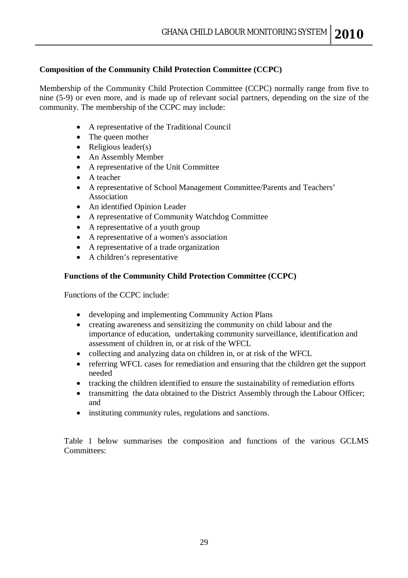#### **Composition of the Community Child Protection Committee (CCPC)**

Membership of the Community Child Protection Committee (CCPC) normally range from five to nine (5-9) or even more, and is made up of relevant social partners, depending on the size of the community. The membership of the CCPC may include:

- A representative of the Traditional Council
- The queen mother
- $\bullet$  Religious leader(s)
- An Assembly Member
- A representative of the Unit Committee
- A teacher
- A representative of School Management Committee/Parents and Teachers' Association
- An identified Opinion Leader
- A representative of Community Watchdog Committee
- A representative of a youth group
- A representative of a women's association
- A representative of a trade organization
- A children's representative

#### **Functions of the Community Child Protection Committee (CCPC)**

Functions of the CCPC include:

- developing and implementing Community Action Plans
- creating awareness and sensitizing the community on child labour and the importance of education, undertaking community surveillance, identification and assessment of children in, or at risk of the WFCL
- collecting and analyzing data on children in, or at risk of the WFCL
- referring WFCL cases for remediation and ensuring that the children get the support needed
- tracking the children identified to ensure the sustainability of remediation efforts
- transmitting the data obtained to the District Assembly through the Labour Officer; and
- instituting community rules, regulations and sanctions.

Table 1 below summarises the composition and functions of the various GCLMS Committees: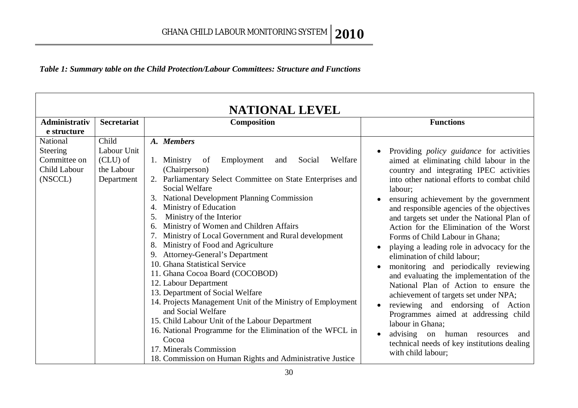*Table 1: Summary table on the Child Protection/Labour Committees: Structure and Functions*

| <b>NATIONAL LEVEL</b> |                    |                                                                                     |                                                                           |  |  |  |  |
|-----------------------|--------------------|-------------------------------------------------------------------------------------|---------------------------------------------------------------------------|--|--|--|--|
| <b>Administrativ</b>  | <b>Secretariat</b> | Composition                                                                         | <b>Functions</b>                                                          |  |  |  |  |
| e structure           |                    |                                                                                     |                                                                           |  |  |  |  |
| National              | Child              | A. Members                                                                          |                                                                           |  |  |  |  |
| <b>Steering</b>       | Labour Unit        |                                                                                     | Providing <i>policy guidance</i> for activities                           |  |  |  |  |
| Committee on          | (CLU) of           | Employment<br>Welfare<br>1. Ministry<br>of<br>Social<br>and                         | aimed at eliminating child labour in the                                  |  |  |  |  |
| Child Labour          | the Labour         | (Chairperson)                                                                       | country and integrating IPEC activities                                   |  |  |  |  |
| (NSCCL)               | Department         | 2. Parliamentary Select Committee on State Enterprises and<br><b>Social Welfare</b> | into other national efforts to combat child<br>labour;                    |  |  |  |  |
|                       |                    | <b>National Development Planning Commission</b><br>3.                               | ensuring achievement by the government                                    |  |  |  |  |
|                       |                    | Ministry of Education<br>4.                                                         | and responsible agencies of the objectives                                |  |  |  |  |
|                       |                    | Ministry of the Interior<br>5.                                                      | and targets set under the National Plan of                                |  |  |  |  |
|                       |                    | Ministry of Women and Children Affairs<br>6.                                        | Action for the Elimination of the Worst                                   |  |  |  |  |
|                       |                    | Ministry of Local Government and Rural development                                  | Forms of Child Labour in Ghana;                                           |  |  |  |  |
|                       |                    | Ministry of Food and Agriculture<br>8.                                              | playing a leading role in advocacy for the<br>$\bullet$                   |  |  |  |  |
|                       |                    | <b>Attorney-General's Department</b>                                                | elimination of child labour;                                              |  |  |  |  |
|                       |                    | 10. Ghana Statistical Service                                                       | monitoring and periodically reviewing                                     |  |  |  |  |
|                       |                    | 11. Ghana Cocoa Board (COCOBOD)                                                     | and evaluating the implementation of the                                  |  |  |  |  |
|                       |                    | 12. Labour Department                                                               | National Plan of Action to ensure the                                     |  |  |  |  |
|                       |                    | 13. Department of Social Welfare                                                    | achievement of targets set under NPA;                                     |  |  |  |  |
|                       |                    | 14. Projects Management Unit of the Ministry of Employment<br>and Social Welfare    | reviewing and endorsing of Action<br>Programmes aimed at addressing child |  |  |  |  |
|                       |                    | 15. Child Labour Unit of the Labour Department                                      | labour in Ghana;                                                          |  |  |  |  |
|                       |                    | 16. National Programme for the Elimination of the WFCL in                           | advising<br>on human<br>resources<br>and                                  |  |  |  |  |
|                       |                    | Cocoa                                                                               | technical needs of key institutions dealing                               |  |  |  |  |
|                       |                    | 17. Minerals Commission                                                             | with child labour;                                                        |  |  |  |  |
|                       |                    | 18. Commission on Human Rights and Administrative Justice                           |                                                                           |  |  |  |  |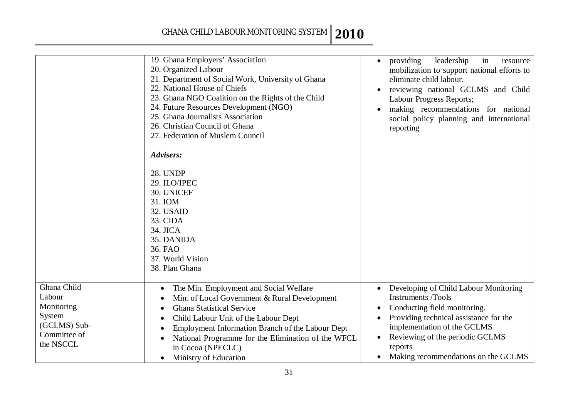|                                                                                            | 19. Ghana Employers' Association<br>20. Organized Labour<br>21. Department of Social Work, University of Ghana<br>22. National House of Chiefs<br>23. Ghana NGO Coalition on the Rights of the Child<br>24. Future Resources Development (NGO)<br>25. Ghana Journalists Association<br>26. Christian Council of Ghana<br>27. Federation of Muslem Council<br>Advisers:<br><b>28. UNDP</b><br>29. ILO/IPEC<br>30. UNICEF<br>31. IOM<br>32. USAID<br>33. CIDA<br>34. JICA<br>35. DANIDA<br>36. FAO<br>37. World Vision<br>38. Plan Ghana | providing<br>leadership<br>in<br>resource<br>$\bullet$<br>mobilization to support national efforts to<br>eliminate child labour.<br>reviewing national GCLMS and Child<br>Labour Progress Reports;<br>making recommendations for national<br>social policy planning and international<br>reporting |
|--------------------------------------------------------------------------------------------|----------------------------------------------------------------------------------------------------------------------------------------------------------------------------------------------------------------------------------------------------------------------------------------------------------------------------------------------------------------------------------------------------------------------------------------------------------------------------------------------------------------------------------------|----------------------------------------------------------------------------------------------------------------------------------------------------------------------------------------------------------------------------------------------------------------------------------------------------|
| Ghana Child<br>Labour<br>Monitoring<br>System<br>(GCLMS) Sub-<br>Committee of<br>the NSCCL | The Min. Employment and Social Welfare<br>Min. of Local Government & Rural Development<br><b>Ghana Statistical Service</b><br>$\bullet$<br>Child Labour Unit of the Labour Dept<br>Employment Information Branch of the Labour Dept<br>National Programme for the Elimination of the WFCL<br>in Cocoa (NPECLC)<br>Ministry of Education<br>$\bullet$                                                                                                                                                                                   | Developing of Child Labour Monitoring<br><b>Instruments /Tools</b><br>Conducting field monitoring.<br>Providing technical assistance for the<br>implementation of the GCLMS<br>Reviewing of the periodic GCLMS<br>reports<br>Making recommendations on the GCLMS<br>$\bullet$                      |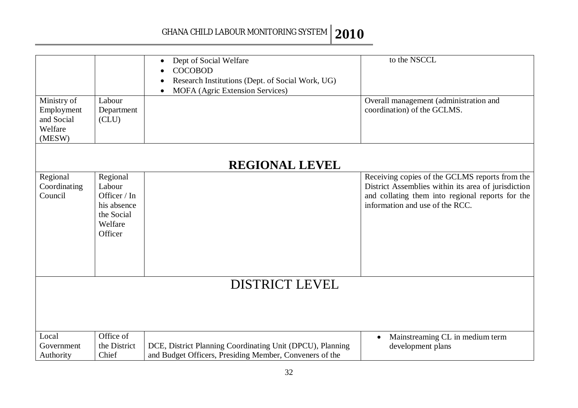|                                                              |                                                                                       | Dept of Social Welfare<br>$\bullet$<br><b>COCOBOD</b><br>$\bullet$<br>Research Institutions (Dept. of Social Work, UG)<br>MOFA (Agric Extension Services) | to the NSCCL                                                                                                                                                                                 |
|--------------------------------------------------------------|---------------------------------------------------------------------------------------|-----------------------------------------------------------------------------------------------------------------------------------------------------------|----------------------------------------------------------------------------------------------------------------------------------------------------------------------------------------------|
| Ministry of<br>Employment<br>and Social<br>Welfare<br>(MESW) | Labour<br>Department<br>CLU)                                                          |                                                                                                                                                           | Overall management (administration and<br>coordination) of the GCLMS.                                                                                                                        |
|                                                              |                                                                                       | <b>REGIONAL LEVEL</b>                                                                                                                                     |                                                                                                                                                                                              |
| Regional<br>Coordinating<br>Council                          | Regional<br>Labour<br>Officer / In<br>his absence<br>the Social<br>Welfare<br>Officer |                                                                                                                                                           | Receiving copies of the GCLMS reports from the<br>District Assemblies within its area of jurisdiction<br>and collating them into regional reports for the<br>information and use of the RCC. |
|                                                              |                                                                                       | <b>DISTRICT LEVEL</b>                                                                                                                                     |                                                                                                                                                                                              |
|                                                              |                                                                                       |                                                                                                                                                           |                                                                                                                                                                                              |
| Local<br>Government<br>Authority                             | Office of<br>the District<br>Chief                                                    | DCE, District Planning Coordinating Unit (DPCU), Planning<br>and Budget Officers, Presiding Member, Conveners of the                                      | Mainstreaming CL in medium term<br>$\bullet$<br>development plans                                                                                                                            |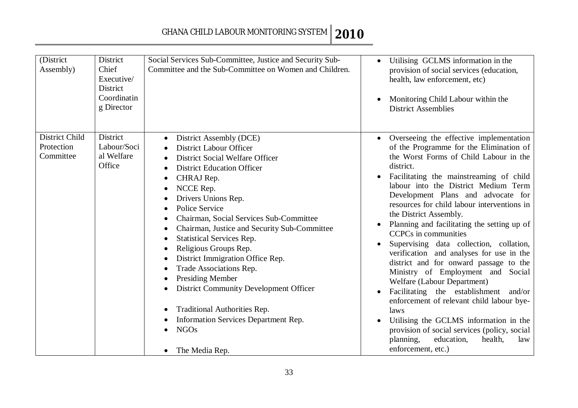| (District<br>Assembly)                    | District<br>Chief<br>Executive/<br>District<br>Coordinatin<br>g Director | Social Services Sub-Committee, Justice and Security Sub-<br>Committee and the Sub-Committee on Women and Children.                                                                                                                                                                                                                                                                                                                                                                                                                                                                                                                                                                                                                                                                                                  | Utilising GCLMS information in the<br>provision of social services (education,<br>health, law enforcement, etc)<br>Monitoring Child Labour within the<br><b>District Assemblies</b>                                                                                                                                                                                                                                                                                                                                                                                                                                                                                                                                                                                                                                                                                                                    |
|-------------------------------------------|--------------------------------------------------------------------------|---------------------------------------------------------------------------------------------------------------------------------------------------------------------------------------------------------------------------------------------------------------------------------------------------------------------------------------------------------------------------------------------------------------------------------------------------------------------------------------------------------------------------------------------------------------------------------------------------------------------------------------------------------------------------------------------------------------------------------------------------------------------------------------------------------------------|--------------------------------------------------------------------------------------------------------------------------------------------------------------------------------------------------------------------------------------------------------------------------------------------------------------------------------------------------------------------------------------------------------------------------------------------------------------------------------------------------------------------------------------------------------------------------------------------------------------------------------------------------------------------------------------------------------------------------------------------------------------------------------------------------------------------------------------------------------------------------------------------------------|
| District Child<br>Protection<br>Committee | District<br>Labour/Soci<br>al Welfare<br>Office                          | District Assembly (DCE)<br>$\bullet$<br><b>District Labour Officer</b><br>District Social Welfare Officer<br><b>District Education Officer</b><br>$\bullet$<br>CHRAJ Rep.<br>$\bullet$<br>NCCE Rep.<br>$\bullet$<br>Drivers Unions Rep.<br><b>Police Service</b><br>$\bullet$<br>Chairman, Social Services Sub-Committee<br>$\bullet$<br>Chairman, Justice and Security Sub-Committee<br>$\bullet$<br><b>Statistical Services Rep.</b><br>$\bullet$<br>Religious Groups Rep.<br>٠<br>District Immigration Office Rep.<br>$\bullet$<br>Trade Associations Rep.<br>$\bullet$<br><b>Presiding Member</b><br>$\bullet$<br><b>District Community Development Officer</b><br>$\bullet$<br>Traditional Authorities Rep.<br>$\bullet$<br>Information Services Department Rep.<br>$\bullet$<br><b>NGOs</b><br>The Media Rep. | Overseeing the effective implementation<br>of the Programme for the Elimination of<br>the Worst Forms of Child Labour in the<br>district.<br>Facilitating the mainstreaming of child<br>$\bullet$<br>labour into the District Medium Term<br>Development Plans and advocate for<br>resources for child labour interventions in<br>the District Assembly.<br>Planning and facilitating the setting up of<br><b>CCPCs</b> in communities<br>Supervising data collection, collation,<br>verification and analyses for use in the<br>district and for onward passage to the<br>Ministry of Employment and Social<br>Welfare (Labour Department)<br>Facilitating the establishment and/or<br>enforcement of relevant child labour bye-<br>laws<br>Utilising the GCLMS information in the<br>provision of social services (policy, social<br>planning,<br>education,<br>health,<br>law<br>enforcement, etc.) |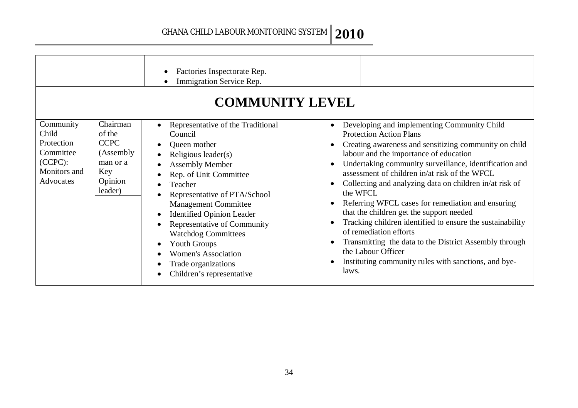|                                                                                          |                                                                                          | Factories Inspectorate Rep.<br>Immigration Service Rep.<br><b>COMMUNITY LEVEL</b>                                                                                                                                                                                                                                                                                                                                                        |                                                                                                                                                                                                                                                                                                                                                                                                                                                                                                                                                                                                                                                                                                             |
|------------------------------------------------------------------------------------------|------------------------------------------------------------------------------------------|------------------------------------------------------------------------------------------------------------------------------------------------------------------------------------------------------------------------------------------------------------------------------------------------------------------------------------------------------------------------------------------------------------------------------------------|-------------------------------------------------------------------------------------------------------------------------------------------------------------------------------------------------------------------------------------------------------------------------------------------------------------------------------------------------------------------------------------------------------------------------------------------------------------------------------------------------------------------------------------------------------------------------------------------------------------------------------------------------------------------------------------------------------------|
| Community<br>Child<br>Protection<br>Committee<br>$(CCPC)$ :<br>Monitors and<br>Advocates | Chairman<br>of the<br><b>CCPC</b><br>(Assembly)<br>man or a<br>Key<br>Opinion<br>leader) | Representative of the Traditional<br>Council<br>Queen mother<br>Religious leader(s)<br><b>Assembly Member</b><br>Rep. of Unit Committee<br>Teacher<br>Representative of PTA/School<br><b>Management Committee</b><br><b>Identified Opinion Leader</b><br>$\bullet$<br>Representative of Community<br><b>Watchdog Committees</b><br><b>Youth Groups</b><br><b>Women's Association</b><br>Trade organizations<br>Children's representative | Developing and implementing Community Child<br><b>Protection Action Plans</b><br>Creating awareness and sensitizing community on child<br>labour and the importance of education<br>Undertaking community surveillance, identification and<br>assessment of children in/at risk of the WFCL<br>Collecting and analyzing data on children in/at risk of<br>the WFCL<br>Referring WFCL cases for remediation and ensuring<br>that the children get the support needed<br>Tracking children identified to ensure the sustainability<br>of remediation efforts<br>Transmitting the data to the District Assembly through<br>the Labour Officer<br>Instituting community rules with sanctions, and bye-<br>laws. |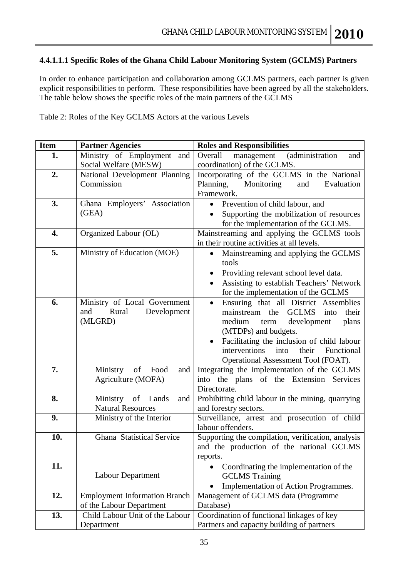#### **4.4.1.1.1 Specific Roles of the Ghana Child Labour Monitoring System (GCLMS) Partners**

In order to enhance participation and collaboration among GCLMS partners, each partner is given explicit responsibilities to perform. These responsibilities have been agreed by all the stakeholders. The table below shows the specific roles of the main partners of the GCLMS

Table 2: Roles of the Key GCLMS Actors at the various Levels

| <b>Item</b>      | <b>Partner Agencies</b>              | <b>Roles and Responsibilities</b>                           |
|------------------|--------------------------------------|-------------------------------------------------------------|
| 1.               | Ministry of Employment<br>and        | (administration<br>Overall<br>management<br>and             |
|                  | Social Welfare (MESW)                | coordination) of the GCLMS.                                 |
| 2.               | National Development Planning        | Incorporating of the GCLMS in the National                  |
|                  | Commission                           | Planning,<br>Monitoring<br>and<br>Evaluation                |
|                  |                                      | Framework.                                                  |
| 3.               | Ghana Employers' Association         | • Prevention of child labour, and                           |
|                  | (GEA)                                | Supporting the mobilization of resources<br>$\bullet$       |
|                  |                                      | for the implementation of the GCLMS.                        |
| $\overline{4}$ . | Organized Labour (OL)                | Mainstreaming and applying the GCLMS tools                  |
|                  |                                      | in their routine activities at all levels.                  |
| 5.               | Ministry of Education (MOE)          | Mainstreaming and applying the GCLMS                        |
|                  |                                      | tools                                                       |
|                  |                                      | Providing relevant school level data.<br>$\bullet$          |
|                  |                                      | Assisting to establish Teachers' Network                    |
|                  |                                      | for the implementation of the GCLMS                         |
| 6.               | Ministry of Local Government         | Ensuring that all District Assemblies<br>$\bullet$          |
|                  | Rural<br>Development<br>and          | <b>GCLMS</b><br>mainstream the<br>into<br>their             |
|                  | (MLGRD)                              | medium<br>development<br>plans<br>term                      |
|                  |                                      | (MTDPs) and budgets.                                        |
|                  |                                      | Facilitating the inclusion of child labour                  |
|                  |                                      | interventions<br>their<br>into<br>Functional                |
|                  |                                      | Operational Assessment Tool (FOAT).                         |
| 7.               | Ministry<br>of Food<br>and           | Integrating the implementation of the GCLMS                 |
|                  | Agriculture (MOFA)                   | into the plans of the Extension<br>Services<br>Directorate. |
| 8.               | Ministry of Lands<br>and             | Prohibiting child labour in the mining, quarrying           |
|                  | <b>Natural Resources</b>             | and forestry sectors.                                       |
| 9.               | Ministry of the Interior             | Surveillance, arrest and prosecution of child               |
|                  |                                      | labour offenders.                                           |
| 10.              | Ghana Statistical Service            | Supporting the compilation, verification, analysis          |
|                  |                                      | and the production of the national GCLMS                    |
|                  |                                      | reports.                                                    |
| 11.              |                                      | Coordinating the implementation of the<br>$\bullet$         |
|                  | <b>Labour Department</b>             | <b>GCLMS</b> Training                                       |
|                  |                                      | Implementation of Action Programmes.                        |
| 12.              | <b>Employment Information Branch</b> | Management of GCLMS data (Programme                         |
|                  | of the Labour Department             | Database)                                                   |
| 13.              | Child Labour Unit of the Labour      | Coordination of functional linkages of key                  |
|                  | Department                           | Partners and capacity building of partners                  |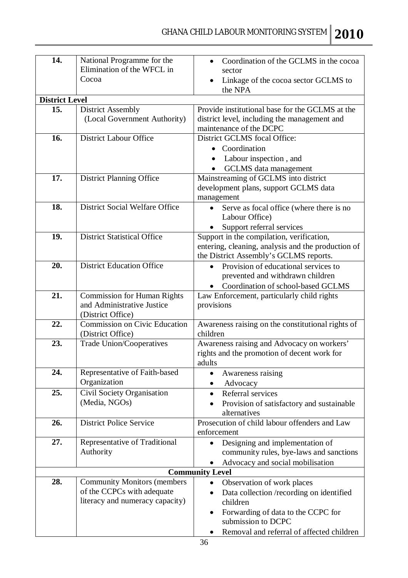| 14.                   | National Programme for the           | Coordination of the GCLMS in the cocoa                                                          |
|-----------------------|--------------------------------------|-------------------------------------------------------------------------------------------------|
|                       | Elimination of the WFCL in           | sector                                                                                          |
|                       | Cocoa                                | Linkage of the cocoa sector GCLMS to<br>the NPA                                                 |
| <b>District Level</b> |                                      |                                                                                                 |
| 15.                   | <b>District Assembly</b>             | Provide institutional base for the GCLMS at the                                                 |
|                       | (Local Government Authority)         | district level, including the management and                                                    |
|                       |                                      | maintenance of the DCPC                                                                         |
| 16.                   | <b>District Labour Office</b>        | District GCLMS focal Office:                                                                    |
|                       |                                      | Coordination<br>$\bullet$                                                                       |
|                       |                                      | Labour inspection, and<br>$\bullet$                                                             |
|                       |                                      | <b>GCLMS</b> data management                                                                    |
| 17.                   | <b>District Planning Office</b>      | Mainstreaming of GCLMS into district                                                            |
|                       |                                      | development plans, support GCLMS data                                                           |
|                       |                                      | management                                                                                      |
| 18.                   | District Social Welfare Office       | Serve as focal office (where there is no<br>$\bullet$                                           |
|                       |                                      | Labour Office)                                                                                  |
|                       |                                      | Support referral services                                                                       |
| 19.                   | <b>District Statistical Office</b>   | Support in the compilation, verification,<br>entering, cleaning, analysis and the production of |
|                       |                                      | the District Assembly's GCLMS reports.                                                          |
| 20.                   | <b>District Education Office</b>     | Provision of educational services to                                                            |
|                       |                                      | prevented and withdrawn children                                                                |
|                       |                                      | Coordination of school-based GCLMS                                                              |
| 21.                   | <b>Commission for Human Rights</b>   | Law Enforcement, particularly child rights                                                      |
|                       | and Administrative Justice           | provisions                                                                                      |
|                       | (District Office)                    |                                                                                                 |
| 22.                   | <b>Commission on Civic Education</b> | Awareness raising on the constitutional rights of                                               |
|                       | (District Office)                    | children                                                                                        |
| 23.                   | <b>Trade Union/Cooperatives</b>      | Awareness raising and Advocacy on workers'                                                      |
|                       |                                      | rights and the promotion of decent work for                                                     |
| 24.                   | Representative of Faith-based        | adults                                                                                          |
|                       | Organization                         | Awareness raising<br>Advocacy<br>$\bullet$                                                      |
| 25.                   | Civil Society Organisation           | Referral services<br>$\bullet$                                                                  |
|                       | (Media, NGOs)                        | Provision of satisfactory and sustainable                                                       |
|                       |                                      | alternatives                                                                                    |
| 26.                   | <b>District Police Service</b>       | Prosecution of child labour offenders and Law                                                   |
|                       |                                      | enforcement                                                                                     |
| 27.                   | Representative of Traditional        | Designing and implementation of<br>$\bullet$                                                    |
|                       | Authority                            | community rules, bye-laws and sanctions                                                         |
|                       |                                      | Advocacy and social mobilisation                                                                |
|                       |                                      | <b>Community Level</b>                                                                          |
| 28.                   | <b>Community Monitors (members</b>   | Observation of work places<br>$\bullet$                                                         |
|                       | of the CCPCs with adequate           | Data collection/recording on identified<br>$\bullet$                                            |
|                       | literacy and numeracy capacity)      | children                                                                                        |
|                       |                                      | Forwarding of data to the CCPC for<br>$\bullet$                                                 |
|                       |                                      | submission to DCPC                                                                              |
|                       |                                      | Removal and referral of affected children                                                       |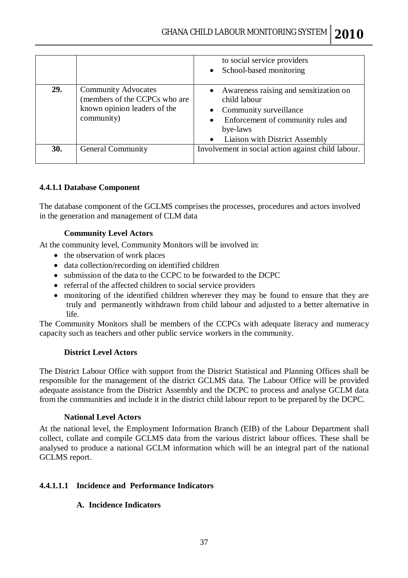|     |                                                                                                           | to social service providers<br>School-based monitoring<br>$\bullet$                                                                                                  |
|-----|-----------------------------------------------------------------------------------------------------------|----------------------------------------------------------------------------------------------------------------------------------------------------------------------|
| 29. | <b>Community Advocates</b><br>(members of the CCPCs who are<br>known opinion leaders of the<br>community) | Awareness raising and sensitization on<br>child labour<br>Community surveillance<br>Enforcement of community rules and<br>bye-laws<br>Liaison with District Assembly |
| 30. | <b>General Community</b>                                                                                  | Involvement in social action against child labour.                                                                                                                   |

#### **4.4.1.1 Database Component**

The database component of the GCLMS comprises the processes, procedures and actors involved in the generation and management of CLM data

#### **Community Level Actors**

At the community level, Community Monitors will be involved in:

- the observation of work places
- data collection/recording on identified children
- submission of the data to the CCPC to be forwarded to the DCPC
- referral of the affected children to social service providers
- monitoring of the identified children wherever they may be found to ensure that they are truly and permanently withdrawn from child labour and adjusted to a better alternative in life.

The Community Monitors shall be members of the CCPCs with adequate literacy and numeracy capacity such as teachers and other public service workers in the community.

#### **District Level Actors**

The District Labour Office with support from the District Statistical and Planning Offices shall be responsible for the management of the district GCLMS data. The Labour Office will be provided adequate assistance from the District Assembly and the DCPC to process and analyse GCLM data from the communities and include it in the district child labour report to be prepared by the DCPC.

#### **National Level Actors**

At the national level, the Employment Information Branch (EIB) of the Labour Department shall collect, collate and compile GCLMS data from the various district labour offices. These shall be analysed to produce a national GCLM information which will be an integral part of the national GCLMS report.

#### **4.4.1.1.1 Incidence and Performance Indicators**

#### **A. Incidence Indicators**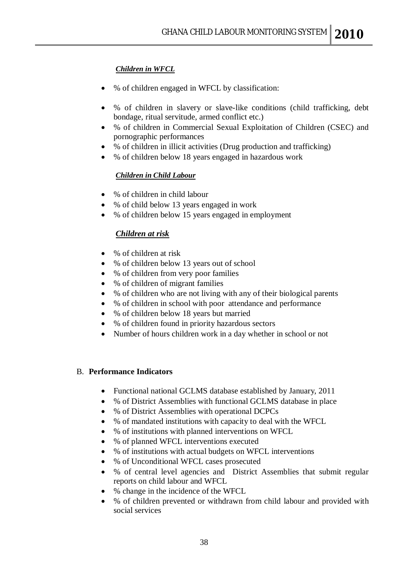#### *Children in WFCL*

- % of children engaged in WFCL by classification:
- % of children in slavery or slave-like conditions (child trafficking, debt bondage, ritual servitude, armed conflict etc.)
- % of children in Commercial Sexual Exploitation of Children (CSEC) and pornographic performances
- % of children in illicit activities (Drug production and trafficking)
- % of children below 18 years engaged in hazardous work

#### *Children in Child Labour*

- % of children in child labour
- % of child below 13 years engaged in work
- % of children below 15 years engaged in employment

#### *Children at risk*

- % of children at risk
- % of children below 13 years out of school
- % of children from very poor families
- % of children of migrant families
- % of children who are not living with any of their biological parents
- % of children in school with poor attendance and performance
- % of children below 18 years but married
- % of children found in priority hazardous sectors
- Number of hours children work in a day whether in school or not

#### B. **Performance Indicators**

- Functional national GCLMS database established by January, 2011
- % of District Assemblies with functional GCLMS database in place
- % of District Assemblies with operational DCPCs
- % of mandated institutions with capacity to deal with the WFCL
- % of institutions with planned interventions on WFCL
- % of planned WFCL interventions executed
- % of institutions with actual budgets on WFCL interventions
- % of Unconditional WFCL cases prosecuted
- % of central level agencies and District Assemblies that submit regular reports on child labour and WFCL
- % change in the incidence of the WFCL
- % of children prevented or withdrawn from child labour and provided with social services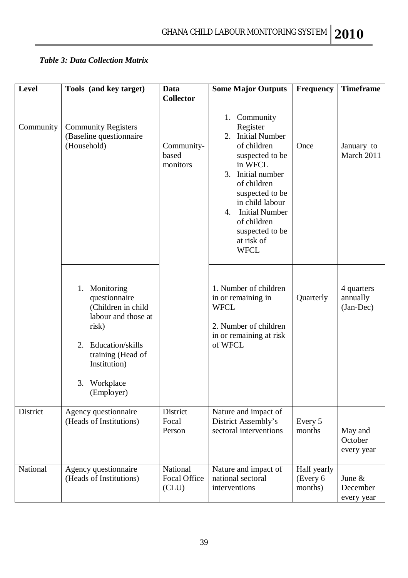## *Table 3: Data Collection Matrix*

| <b>Level</b> | Tools (and key target)                                                                                                                                                         | Data<br><b>Collector</b>                | <b>Some Major Outputs</b>                                                                                                                                                                                                                                                       | Frequency                          | <b>Timeframe</b>                    |
|--------------|--------------------------------------------------------------------------------------------------------------------------------------------------------------------------------|-----------------------------------------|---------------------------------------------------------------------------------------------------------------------------------------------------------------------------------------------------------------------------------------------------------------------------------|------------------------------------|-------------------------------------|
| Community    | <b>Community Registers</b><br>(Baseline questionnaire<br>(Household)                                                                                                           | Community-<br>based<br>monitors         | 1. Community<br>Register<br><b>Initial Number</b><br>2.<br>of children<br>suspected to be<br>in WFCL<br>Initial number<br>3.<br>of children<br>suspected to be<br>in child labour<br><b>Initial Number</b><br>4.<br>of children<br>suspected to be<br>at risk of<br><b>WFCL</b> | Once                               | January to<br>March 2011            |
|              | 1. Monitoring<br>questionnaire<br>(Children in child<br>labour and those at<br>risk)<br>2. Education/skills<br>training (Head of<br>Institution)<br>3. Workplace<br>(Employer) |                                         | 1. Number of children<br>in or remaining in<br><b>WFCL</b><br>2. Number of children<br>in or remaining at risk<br>of WFCL                                                                                                                                                       | Quarterly                          | 4 quarters<br>annually<br>(Jan-Dec) |
| District     | Agency questionnaire<br>(Heads of Institutions)                                                                                                                                | District<br>Focal<br>Person             | Nature and impact of<br>District Assembly's<br>sectoral interventions                                                                                                                                                                                                           | Every 5<br>months                  | May and<br>October<br>every year    |
| National     | Agency questionnaire<br>(Heads of Institutions)                                                                                                                                | National<br><b>Focal Office</b><br>CLU) | Nature and impact of<br>national sectoral<br>interventions                                                                                                                                                                                                                      | Half yearly<br>(Every 6<br>months) | June $\&$<br>December<br>every year |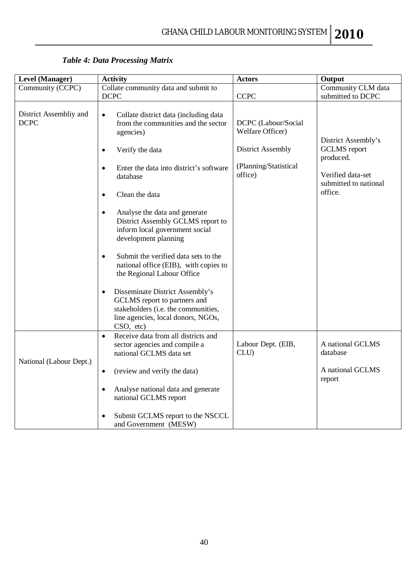| <b>Level (Manager)</b>                | <b>Activity</b>                                                                                                                                                                                                                                                                                                                                                                                                                                                                                                                                                                                                                                                                 | <b>Actors</b>                                                                                           | Output                                                                                                           |
|---------------------------------------|---------------------------------------------------------------------------------------------------------------------------------------------------------------------------------------------------------------------------------------------------------------------------------------------------------------------------------------------------------------------------------------------------------------------------------------------------------------------------------------------------------------------------------------------------------------------------------------------------------------------------------------------------------------------------------|---------------------------------------------------------------------------------------------------------|------------------------------------------------------------------------------------------------------------------|
| Community (CCPC)                      | Collate community data and submit to<br><b>DCPC</b>                                                                                                                                                                                                                                                                                                                                                                                                                                                                                                                                                                                                                             | <b>CCPC</b>                                                                                             | Community CLM data<br>submitted to DCPC                                                                          |
| District Assembliy and<br><b>DCPC</b> | Collate district data (including data<br>$\bullet$<br>from the communities and the sector<br>agencies)<br>Verify the data<br>$\bullet$<br>Enter the data into district's software<br>database<br>Clean the data<br>$\bullet$<br>Analyse the data and generate<br>$\bullet$<br>District Assembly GCLMS report to<br>inform local government social<br>development planning<br>Submit the verified data sets to the<br>$\bullet$<br>national office (EIB), with copies to<br>the Regional Labour Office<br>Disseminate District Assembly's<br>$\bullet$<br>GCLMS report to partners and<br>stakeholders (i.e. the communities,<br>line agencies, local donors, NGOs,<br>CSO, etc) | DCPC (Labour/Social<br>Welfare Officer)<br><b>District Assembly</b><br>(Planning/Statistical<br>office) | District Assembly's<br><b>GCLMS</b> report<br>produced.<br>Verified data-set<br>submitted to national<br>office. |
| National (Labour Dept.)               | Receive data from all districts and<br>$\bullet$<br>sector agencies and compile a<br>national GCLMS data set<br>(review and verify the data)<br>$\bullet$<br>Analyse national data and generate<br>$\bullet$<br>national GCLMS report<br>Submit GCLMS report to the NSCCL<br>and Government (MESW)                                                                                                                                                                                                                                                                                                                                                                              | Labour Dept. (EIB,<br>CLU)                                                                              | A national GCLMS<br>database<br>A national GCLMS<br>report                                                       |

*Table 4: Data Processing Matrix*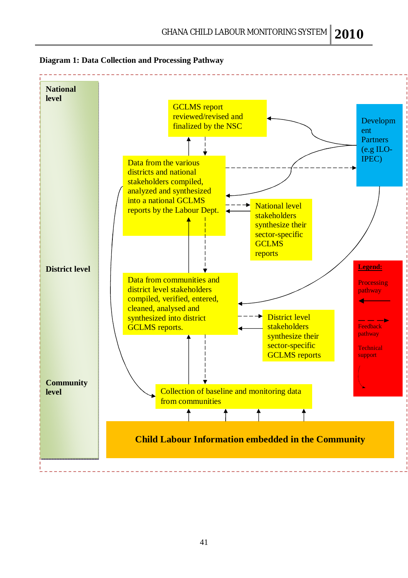

**Diagram 1: Data Collection and Processing Pathway**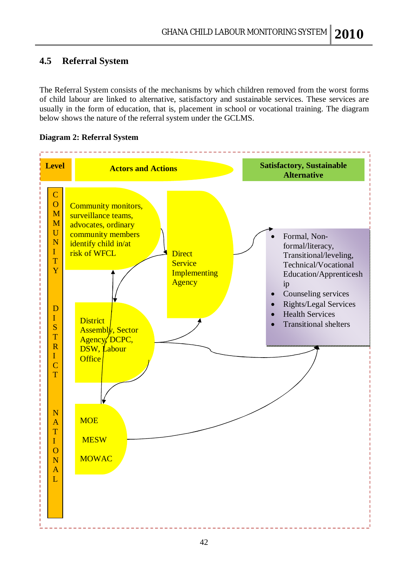## **4.5 Referral System**

The Referral System consists of the mechanisms by which children removed from the worst forms of child labour are linked to alternative, satisfactory and sustainable services. These services are usually in the form of education, that is, placement in school or vocational training. The diagram below shows the nature of the referral system under the GCLMS.

#### **Diagram 2: Referral System**

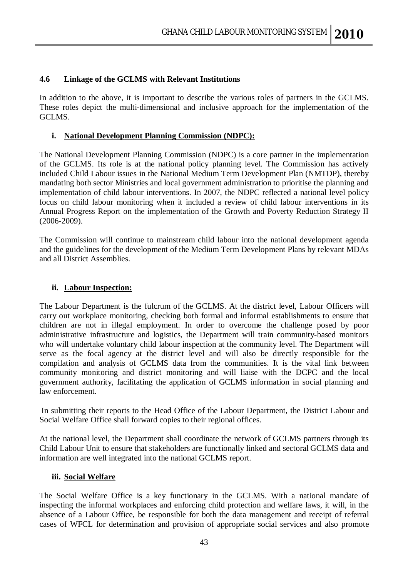#### **4.6 Linkage of the GCLMS with Relevant Institutions**

In addition to the above, it is important to describe the various roles of partners in the GCLMS. These roles depict the multi-dimensional and inclusive approach for the implementation of the GCLMS.

#### **i. National Development Planning Commission (NDPC):**

The National Development Planning Commission (NDPC) is a core partner in the implementation of the GCLMS. Its role is at the national policy planning level. The Commission has actively included Child Labour issues in the National Medium Term Development Plan (NMTDP), thereby mandating both sector Ministries and local government administration to prioritise the planning and implementation of child labour interventions. In 2007, the NDPC reflected a national level policy focus on child labour monitoring when it included a review of child labour interventions in its Annual Progress Report on the implementation of the Growth and Poverty Reduction Strategy II (2006-2009).

The Commission will continue to mainstream child labour into the national development agenda and the guidelines for the development of the Medium Term Development Plans by relevant MDAs and all District Assemblies.

#### **ii. Labour Inspection:**

The Labour Department is the fulcrum of the GCLMS. At the district level, Labour Officers will carry out workplace monitoring, checking both formal and informal establishments to ensure that children are not in illegal employment. In order to overcome the challenge posed by poor administrative infrastructure and logistics, the Department will train community-based monitors who will undertake voluntary child labour inspection at the community level. The Department will serve as the focal agency at the district level and will also be directly responsible for the compilation and analysis of GCLMS data from the communities. It is the vital link between community monitoring and district monitoring and will liaise with the DCPC and the local government authority, facilitating the application of GCLMS information in social planning and law enforcement.

In submitting their reports to the Head Office of the Labour Department, the District Labour and Social Welfare Office shall forward copies to their regional offices.

At the national level, the Department shall coordinate the network of GCLMS partners through its Child Labour Unit to ensure that stakeholders are functionally linked and sectoral GCLMS data and information are well integrated into the national GCLMS report.

#### **iii. Social Welfare**

The Social Welfare Office is a key functionary in the GCLMS. With a national mandate of inspecting the informal workplaces and enforcing child protection and welfare laws, it will, in the absence of a Labour Office, be responsible for both the data management and receipt of referral cases of WFCL for determination and provision of appropriate social services and also promote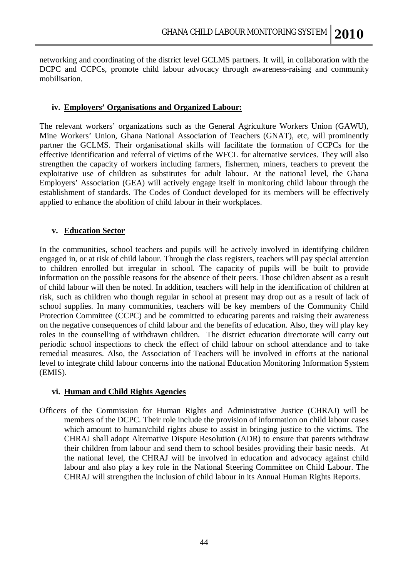networking and coordinating of the district level GCLMS partners. It will, in collaboration with the DCPC and CCPCs, promote child labour advocacy through awareness-raising and community mobilisation.

#### **iv. Employers' Organisations and Organized Labour:**

The relevant workers' organizations such as the General Agriculture Workers Union (GAWU), Mine Workers' Union, Ghana National Association of Teachers (GNAT), etc, will prominently partner the GCLMS. Their organisational skills will facilitate the formation of CCPCs for the effective identification and referral of victims of the WFCL for alternative services. They will also strengthen the capacity of workers including farmers, fishermen, miners, teachers to prevent the exploitative use of children as substitutes for adult labour. At the national level, the Ghana Employers' Association (GEA) will actively engage itself in monitoring child labour through the establishment of standards. The Codes of Conduct developed for its members will be effectively applied to enhance the abolition of child labour in their workplaces.

#### **v. Education Sector**

In the communities, school teachers and pupils will be actively involved in identifying children engaged in, or at risk of child labour. Through the class registers, teachers will pay special attention to children enrolled but irregular in school. The capacity of pupils will be built to provide information on the possible reasons for the absence of their peers. Those children absent as a result of child labour will then be noted. In addition, teachers will help in the identification of children at risk, such as children who though regular in school at present may drop out as a result of lack of school supplies. In many communities, teachers will be key members of the Community Child Protection Committee (CCPC) and be committed to educating parents and raising their awareness on the negative consequences of child labour and the benefits of education. Also, they will play key roles in the counselling of withdrawn children. The district education directorate will carry out periodic school inspections to check the effect of child labour on school attendance and to take remedial measures. Also, the Association of Teachers will be involved in efforts at the national level to integrate child labour concerns into the national Education Monitoring Information System (EMIS).

#### **vi. Human and Child Rights Agencies**

Officers of the Commission for Human Rights and Administrative Justice (CHRAJ) will be members of the DCPC. Their role include the provision of information on child labour cases which amount to human/child rights abuse to assist in bringing justice to the victims. The CHRAJ shall adopt Alternative Dispute Resolution (ADR) to ensure that parents withdraw their children from labour and send them to school besides providing their basic needs. At the national level, the CHRAJ will be involved in education and advocacy against child labour and also play a key role in the National Steering Committee on Child Labour. The CHRAJ will strengthen the inclusion of child labour in its Annual Human Rights Reports.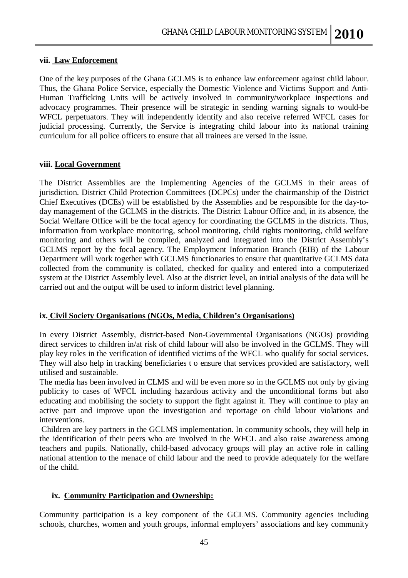#### **vii. Law Enforcement**

One of the key purposes of the Ghana GCLMS is to enhance law enforcement against child labour. Thus, the Ghana Police Service, especially the Domestic Violence and Victims Support and Anti-Human Trafficking Units will be actively involved in community/workplace inspections and advocacy programmes. Their presence will be strategic in sending warning signals to would-be WFCL perpetuators. They will independently identify and also receive referred WFCL cases for judicial processing. Currently, the Service is integrating child labour into its national training curriculum for all police officers to ensure that all trainees are versed in the issue.

#### **viii. Local Government**

The District Assemblies are the Implementing Agencies of the GCLMS in their areas of jurisdiction. District Child Protection Committees (DCPCs) under the chairmanship of the District Chief Executives (DCEs) will be established by the Assemblies and be responsible for the day-today management of the GCLMS in the districts. The District Labour Office and, in its absence, the Social Welfare Office will be the focal agency for coordinating the GCLMS in the districts. Thus, information from workplace monitoring, school monitoring, child rights monitoring, child welfare monitoring and others will be compiled, analyzed and integrated into the District Assembly's GCLMS report by the focal agency. The Employment Information Branch (EIB) of the Labour Department will work together with GCLMS functionaries to ensure that quantitative GCLMS data collected from the community is collated, checked for quality and entered into a computerized system at the District Assembly level. Also at the district level, an initial analysis of the data will be carried out and the output will be used to inform district level planning.

#### **ix. Civil Society Organisations (NGOs, Media, Children's Organisations)**

In every District Assembly, district-based Non-Governmental Organisations (NGOs) providing direct services to children in/at risk of child labour will also be involved in the GCLMS. They will play key roles in the verification of identified victims of the WFCL who qualify for social services. They will also help in tracking beneficiaries t o ensure that services provided are satisfactory, well utilised and sustainable.

The media has been involved in CLMS and will be even more so in the GCLMS not only by giving publicity to cases of WFCL including hazardous activity and the unconditional forms but also educating and mobilising the society to support the fight against it. They will continue to play an active part and improve upon the investigation and reportage on child labour violations and interventions.

Children are key partners in the GCLMS implementation. In community schools, they will help in the identification of their peers who are involved in the WFCL and also raise awareness among teachers and pupils. Nationally, child-based advocacy groups will play an active role in calling national attention to the menace of child labour and the need to provide adequately for the welfare of the child.

#### **ix. Community Participation and Ownership:**

Community participation is a key component of the GCLMS. Community agencies including schools, churches, women and youth groups, informal employers' associations and key community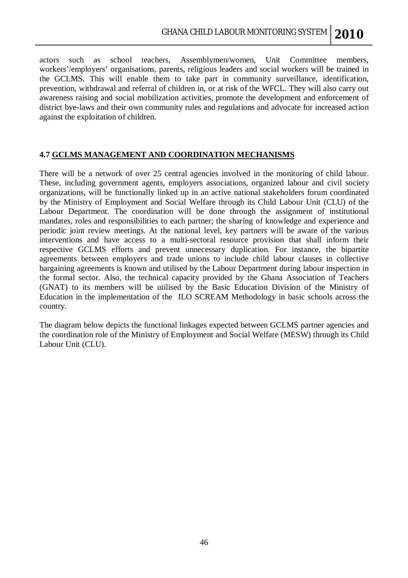actors such as school teachers, Assemblymen/women, Unit Committee members, workers'/employers' organisations, parents, religious leaders and social workers will be trained in the GCLMS. This will enable them to take part in community surveillance, identification, prevention, withdrawal and referral of children in, or at risk of the WFCL. They will also carry out awareness raising and social mobilization activities, promote the development and enforcement of district bye-laws and their own community rules and regulations and advocate for increased action against the exploitation of children.

#### **4.7 GCLMS MANAGEMENT AND COORDINATION MECHANISMS**

There will be a network of over 25 central agencies involved in the monitoring of child labour. These, including government agents, employers associations, organized labour and civil society organizations, will be functionally linked up in an active national stakeholders forum coordinated by the Ministry of Employment and Social Welfare through its Child Labour Unit (CLU) of the Labour Department. The coordination will be done through the assignment of institutional mandates, roles and responsibilities to each partner; the sharing of knowledge and experience and periodic joint review meetings. At the national level, key partners will be aware of the various interventions and have access to a multi-sectoral resource provision that shall inform their respective GCLMS efforts and prevent unnecessary duplication. For instance, the bipartite agreements between employers and trade unions to include child labour clauses in collective bargaining agreements is known and utilised by the Labour Department during labour inspection in the formal sector. Also, the technical capacity provided by the Ghana Association of Teachers (GNAT) to its members will be utilised by the Basic Education Division of the Ministry of Education in the implementation of the ILO SCREAM Methodology in basic schools across the country.

The diagram below depicts the functional linkages expected between GCLMS partner agencies and the coordination role of the Ministry of Employment and Social Welfare (MESW) through its Child Labour Unit (CLU).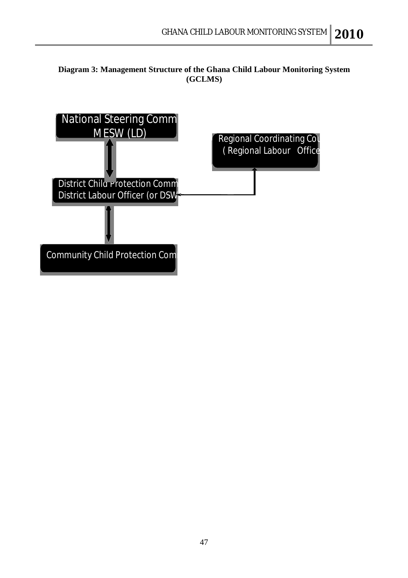#### **Diagram 3: Management Structure of the Ghana Child Labour Monitoring System (GCLMS)**

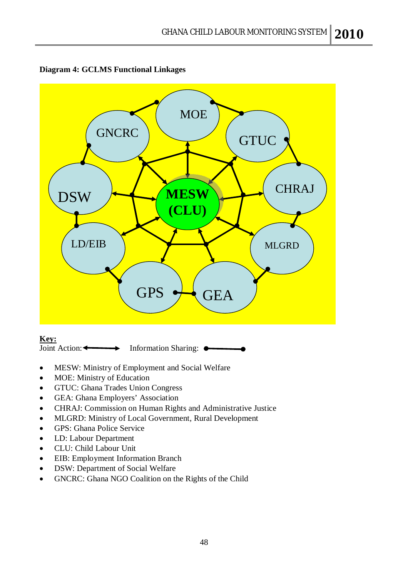



#### **Key:**

Joint Action:  $\longleftrightarrow$  Information Sharing:  $\bullet$ 

- MESW: Ministry of Employment and Social Welfare
- MOE: Ministry of Education
- GTUC: Ghana Trades Union Congress
- GEA: Ghana Employers' Association
- CHRAJ: Commission on Human Rights and Administrative Justice
- MLGRD: Ministry of Local Government, Rural Development
- GPS: Ghana Police Service
- LD: Labour Department
- CLU: Child Labour Unit
- EIB: Employment Information Branch
- DSW: Department of Social Welfare
- GNCRC: Ghana NGO Coalition on the Rights of the Child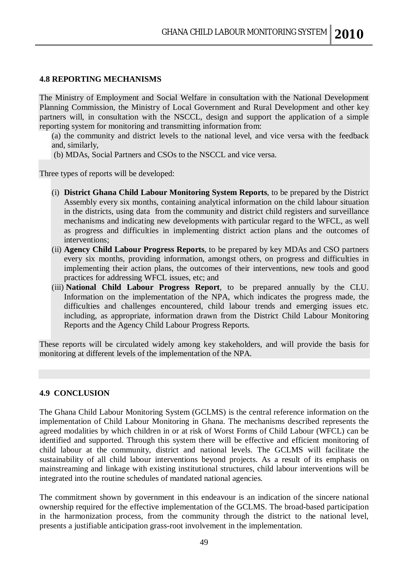#### **4.8 REPORTING MECHANISMS**

The Ministry of Employment and Social Welfare in consultation with the National Development Planning Commission, the Ministry of Local Government and Rural Development and other key partners will, in consultation with the NSCCL, design and support the application of a simple reporting system for monitoring and transmitting information from:

(a) the community and district levels to the national level, and vice versa with the feedback and, similarly,

(b) MDAs, Social Partners and CSOs to the NSCCL and vice versa.

Three types of reports will be developed:

- (i) **District Ghana Child Labour Monitoring System Reports**, to be prepared by the District Assembly every six months, containing analytical information on the child labour situation in the districts, using data from the community and district child registers and surveillance mechanisms and indicating new developments with particular regard to the WFCL, as well as progress and difficulties in implementing district action plans and the outcomes of interventions;
- (ii) **Agency Child Labour Progress Reports**, to be prepared by key MDAs and CSO partners every six months, providing information, amongst others, on progress and difficulties in implementing their action plans, the outcomes of their interventions, new tools and good practices for addressing WFCL issues, etc; and
- (iii) **National Child Labour Progress Report**, to be prepared annually by the CLU. Information on the implementation of the NPA, which indicates the progress made, the difficulties and challenges encountered, child labour trends and emerging issues etc. including, as appropriate, information drawn from the District Child Labour Monitoring Reports and the Agency Child Labour Progress Reports.

These reports will be circulated widely among key stakeholders, and will provide the basis for monitoring at different levels of the implementation of the NPA.

#### **4.9 CONCLUSION**

The Ghana Child Labour Monitoring System (GCLMS) is the central reference information on the implementation of Child Labour Monitoring in Ghana. The mechanisms described represents the agreed modalities by which children in or at risk of Worst Forms of Child Labour (WFCL) can be identified and supported. Through this system there will be effective and efficient monitoring of child labour at the community, district and national levels. The GCLMS will facilitate the sustainability of all child labour interventions beyond projects. As a result of its emphasis on mainstreaming and linkage with existing institutional structures, child labour interventions will be integrated into the routine schedules of mandated national agencies.

The commitment shown by government in this endeavour is an indication of the sincere national ownership required for the effective implementation of the GCLMS. The broad-based participation in the harmonization process, from the community through the district to the national level, presents a justifiable anticipation grass-root involvement in the implementation.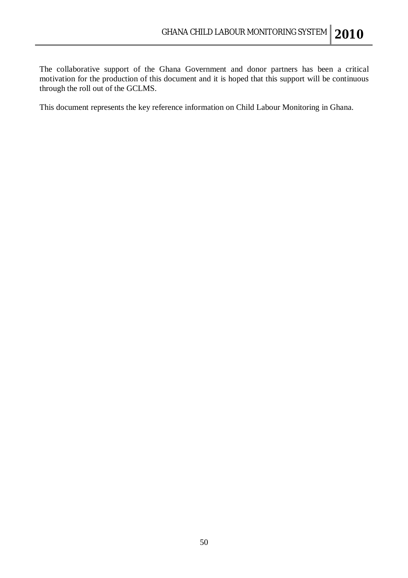The collaborative support of the Ghana Government and donor partners has been a critical motivation for the production of this document and it is hoped that this support will be continuous through the roll out of the GCLMS.

This document represents the key reference information on Child Labour Monitoring in Ghana.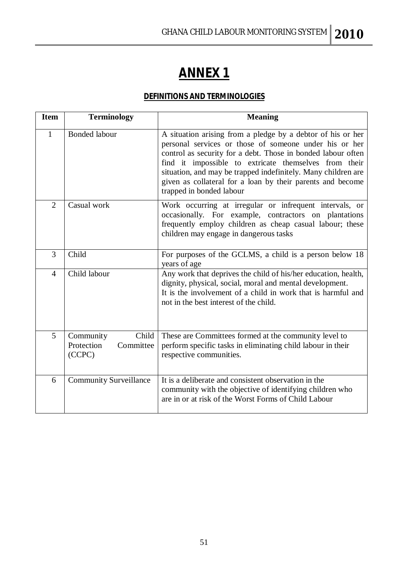## **ANNEX 1**

## **DEFINITIONS AND TERMINOLOGIES**

| <b>Item</b>    | <b>Terminology</b>                                      | <b>Meaning</b>                                                                                                                                                                                                                                                                                                                                                                                            |
|----------------|---------------------------------------------------------|-----------------------------------------------------------------------------------------------------------------------------------------------------------------------------------------------------------------------------------------------------------------------------------------------------------------------------------------------------------------------------------------------------------|
| 1              | <b>Bonded labour</b>                                    | A situation arising from a pledge by a debtor of his or her<br>personal services or those of someone under his or her<br>control as security for a debt. Those in bonded labour often<br>find it impossible to extricate themselves from their<br>situation, and may be trapped indefinitely. Many children are<br>given as collateral for a loan by their parents and become<br>trapped in bonded labour |
| $\overline{2}$ | Casual work                                             | Work occurring at irregular or infrequent intervals, or<br>occasionally. For example, contractors on plantations<br>frequently employ children as cheap casual labour; these<br>children may engage in dangerous tasks                                                                                                                                                                                    |
| 3              | Child                                                   | For purposes of the GCLMS, a child is a person below 18<br>years of age                                                                                                                                                                                                                                                                                                                                   |
| $\overline{4}$ | Child labour                                            | Any work that deprives the child of his/her education, health,<br>dignity, physical, social, moral and mental development.<br>It is the involvement of a child in work that is harmful and<br>not in the best interest of the child.                                                                                                                                                                      |
| 5              | Child<br>Community<br>Protection<br>Committee<br>(CCPC) | These are Committees formed at the community level to<br>perform specific tasks in eliminating child labour in their<br>respective communities.                                                                                                                                                                                                                                                           |
| 6              | <b>Community Surveillance</b>                           | It is a deliberate and consistent observation in the<br>community with the objective of identifying children who<br>are in or at risk of the Worst Forms of Child Labour                                                                                                                                                                                                                                  |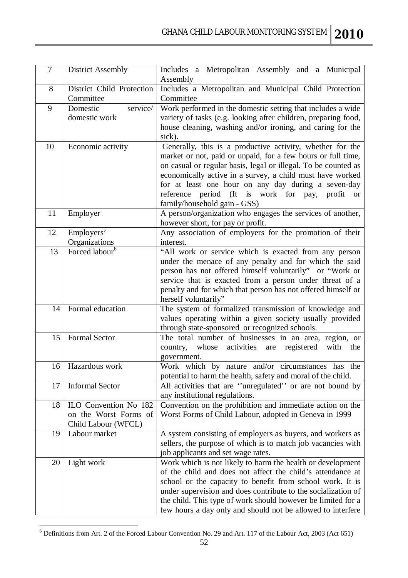| $\overline{7}$ | District Assembly          | Includes a Metropolitan Assembly and a Municipal<br>Assembly                                                              |
|----------------|----------------------------|---------------------------------------------------------------------------------------------------------------------------|
| 8              | District Child Protection  | Includes a Metropolitan and Municipal Child Protection                                                                    |
|                | Committee                  | Committee                                                                                                                 |
| 9              | service/<br>Domestic       | Work performed in the domestic setting that includes a wide                                                               |
|                | domestic work              | variety of tasks (e.g. looking after children, preparing food,                                                            |
|                |                            | house cleaning, washing and/or ironing, and caring for the                                                                |
|                |                            | sick).                                                                                                                    |
| 10             | Economic activity          | Generally, this is a productive activity, whether for the<br>market or not, paid or unpaid, for a few hours or full time, |
|                |                            | on casual or regular basis, legal or illegal. To be counted as                                                            |
|                |                            | economically active in a survey, a child must have worked                                                                 |
|                |                            | for at least one hour on any day during a seven-day                                                                       |
|                |                            | reference period (It is work for pay, profit or                                                                           |
|                |                            | family/household gain - GSS)                                                                                              |
| 11             | Employer                   | A person/organization who engages the services of another,                                                                |
|                |                            | however short, for pay or profit.                                                                                         |
| 12             | Employers'                 | Any association of employers for the promotion of their                                                                   |
|                | Organizations              | interest.                                                                                                                 |
| 13             | Forced labour <sup>6</sup> | "All work or service which is exacted from any person                                                                     |
|                |                            | under the menace of any penalty and for which the said<br>person has not offered himself voluntarily" or "Work or         |
|                |                            | service that is exacted from a person under threat of a                                                                   |
|                |                            | penalty and for which that person has not offered himself or                                                              |
|                |                            | herself voluntarily"                                                                                                      |
| 14             | Formal education           | The system of formalized transmission of knowledge and                                                                    |
|                |                            | values operating within a given society usually provided                                                                  |
|                |                            | through state-sponsored or recognized schools.                                                                            |
| 15             | <b>Formal Sector</b>       | The total number of businesses in an area, region, or                                                                     |
|                |                            | whose<br>registered<br>with<br>activities<br>country,<br>are<br>the                                                       |
| 16             | Hazardous work             | government.<br>Work which by nature and/or circumstances has the                                                          |
|                |                            | potential to harm the health, safety and moral of the child.                                                              |
| 17             | <b>Informal Sector</b>     | All activities that are "unregulated" or are not bound by                                                                 |
|                |                            | any institutional regulations.                                                                                            |
| 18             | ILO Convention No 182      | Convention on the prohibition and immediate action on the                                                                 |
|                | on the Worst Forms of      | Worst Forms of Child Labour, adopted in Geneva in 1999                                                                    |
|                | Child Labour (WFCL)        |                                                                                                                           |
| 19             | Labour market              | A system consisting of employers as buyers, and workers as                                                                |
|                |                            | sellers, the purpose of which is to match job vacancies with                                                              |
|                |                            | job applicants and set wage rates.                                                                                        |
| 20             | Light work                 | Work which is not likely to harm the health or development<br>of the child and does not affect the child's attendance at  |
|                |                            | school or the capacity to benefit from school work. It is                                                                 |
|                |                            | under supervision and does contribute to the socialization of                                                             |
|                |                            | the child. This type of work should however be limited for a                                                              |
|                |                            | few hours a day only and should not be allowed to interfere                                                               |

 $\overline{a}$  $6$  Definitions from Art. 2 of the Forced Labour Convention No. 29 and Art. 117 of the Labour Act, 2003 (Act 651)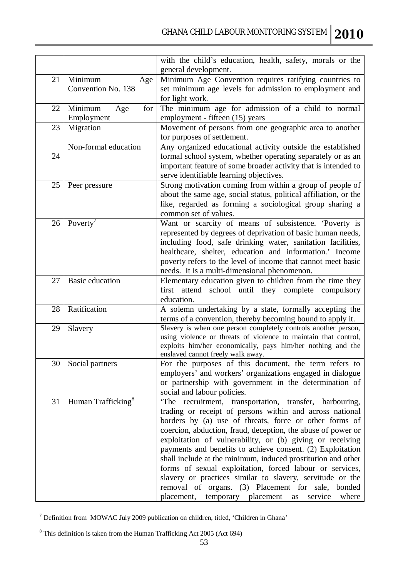|    |                                      | with the child's education, health, safety, morals or the<br>general development.                                                                                                                                                                                                                                                                                                                                                                                                                                                                                                                                                                                                           |
|----|--------------------------------------|---------------------------------------------------------------------------------------------------------------------------------------------------------------------------------------------------------------------------------------------------------------------------------------------------------------------------------------------------------------------------------------------------------------------------------------------------------------------------------------------------------------------------------------------------------------------------------------------------------------------------------------------------------------------------------------------|
| 21 | Minimum<br>Age<br>Convention No. 138 | Minimum Age Convention requires ratifying countries to<br>set minimum age levels for admission to employment and<br>for light work.                                                                                                                                                                                                                                                                                                                                                                                                                                                                                                                                                         |
| 22 | Minimum<br>for<br>Age<br>Employment  | The minimum age for admission of a child to normal<br>employment - fifteen (15) years                                                                                                                                                                                                                                                                                                                                                                                                                                                                                                                                                                                                       |
| 23 | Migration                            | Movement of persons from one geographic area to another<br>for purposes of settlement.                                                                                                                                                                                                                                                                                                                                                                                                                                                                                                                                                                                                      |
| 24 | Non-formal education                 | Any organized educational activity outside the established<br>formal school system, whether operating separately or as an<br>important feature of some broader activity that is intended to<br>serve identifiable learning objectives.                                                                                                                                                                                                                                                                                                                                                                                                                                                      |
| 25 | Peer pressure                        | Strong motivation coming from within a group of people of<br>about the same age, social status, political affiliation, or the<br>like, regarded as forming a sociological group sharing a<br>common set of values.                                                                                                                                                                                                                                                                                                                                                                                                                                                                          |
| 26 | Poverty'                             | Want or scarcity of means of subsistence. 'Poverty is<br>represented by degrees of deprivation of basic human needs,<br>including food, safe drinking water, sanitation facilities,<br>healthcare, shelter, education and information.' Income<br>poverty refers to the level of income that cannot meet basic<br>needs. It is a multi-dimensional phenomenon.                                                                                                                                                                                                                                                                                                                              |
| 27 | <b>Basic education</b>               | Elementary education given to children from the time they<br>attend school until they complete compulsory<br>first<br>education.                                                                                                                                                                                                                                                                                                                                                                                                                                                                                                                                                            |
| 28 | Ratification                         | A solemn undertaking by a state, formally accepting the<br>terms of a convention, thereby becoming bound to apply it.                                                                                                                                                                                                                                                                                                                                                                                                                                                                                                                                                                       |
| 29 | Slavery                              | Slavery is when one person completely controls another person,<br>using violence or threats of violence to maintain that control,<br>exploits him/her economically, pays him/her nothing and the<br>enslaved cannot freely walk away.                                                                                                                                                                                                                                                                                                                                                                                                                                                       |
| 30 | Social partners                      | For the purposes of this document, the term refers to<br>employers' and workers' organizations engaged in dialogue<br>or partnership with government in the determination of<br>social and labour policies.                                                                                                                                                                                                                                                                                                                                                                                                                                                                                 |
| 31 | Human Trafficking <sup>8</sup>       | 'The recruitment, transportation, transfer, harbouring,<br>trading or receipt of persons within and across national<br>borders by (a) use of threats, force or other forms of<br>coercion, abduction, fraud, deception, the abuse of power or<br>exploitation of vulnerability, or (b) giving or receiving<br>payments and benefits to achieve consent. (2) Exploitation<br>shall include at the minimum, induced prostitution and other<br>forms of sexual exploitation, forced labour or services,<br>slavery or practices similar to slavery, servitude or the<br>removal of organs. (3) Placement for sale,<br>bonded<br>placement,<br>temporary<br>placement<br>service<br>where<br>as |

 $\overline{a}$  $7$  Definition from MOWAC July 2009 publication on children, titled, 'Children in Ghana'

 $8$  This definition is taken from the Human Trafficking Act 2005 (Act 694)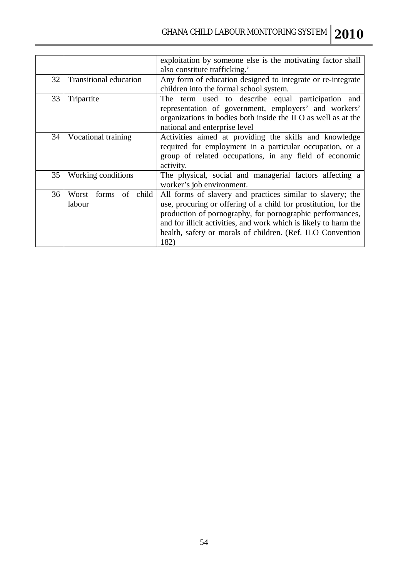|    |                                      | exploitation by someone else is the motivating factor shall<br>also constitute trafficking.'                                                                                                                                                                                                                                         |
|----|--------------------------------------|--------------------------------------------------------------------------------------------------------------------------------------------------------------------------------------------------------------------------------------------------------------------------------------------------------------------------------------|
| 32 | <b>Transitional education</b>        | Any form of education designed to integrate or re-integrate<br>children into the formal school system.                                                                                                                                                                                                                               |
| 33 | Tripartite                           | The term used to describe equal participation and<br>representation of government, employers' and workers'<br>organizations in bodies both inside the ILO as well as at the<br>national and enterprise level                                                                                                                         |
| 34 | Vocational training                  | Activities aimed at providing the skills and knowledge<br>required for employment in a particular occupation, or a<br>group of related occupations, in any field of economic<br>activity.                                                                                                                                            |
| 35 | Working conditions                   | The physical, social and managerial factors affecting a<br>worker's job environment.                                                                                                                                                                                                                                                 |
| 36 | forms<br>of child<br>Worst<br>labour | All forms of slavery and practices similar to slavery; the<br>use, procuring or offering of a child for prostitution, for the<br>production of pornography, for pornographic performances,<br>and for illicit activities, and work which is likely to harm the<br>health, safety or morals of children. (Ref. ILO Convention<br>182) |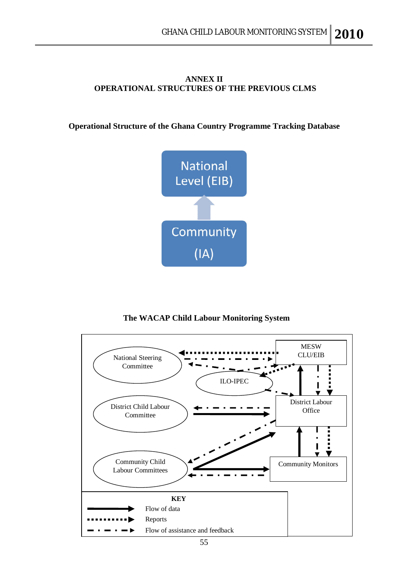#### **ANNEX II OPERATIONAL STRUCTURES OF THE PREVIOUS CLMS**

**Operational Structure of the Ghana Country Programme Tracking Database**



 **The WACAP Child Labour Monitoring System**

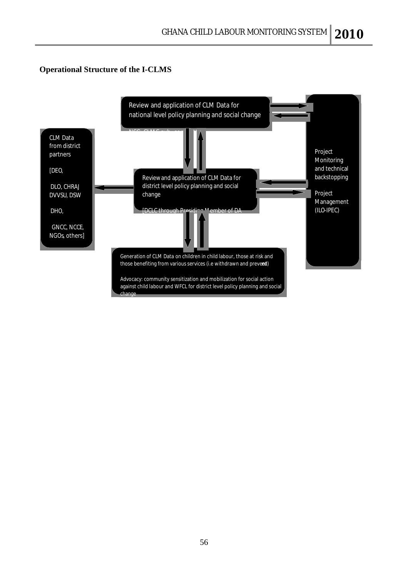#### **Operational Structure of the I-CLMS**